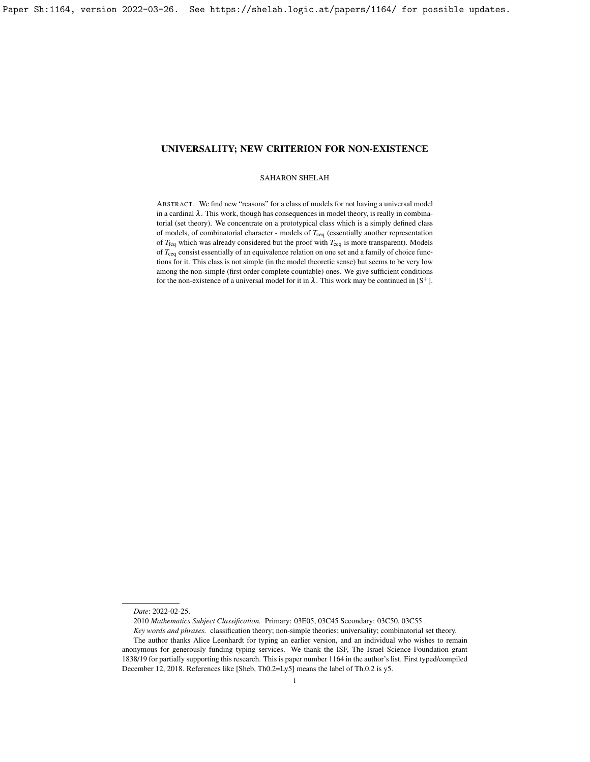## SAHARON SHELAH

ABSTRACT. We find new "reasons" for a class of models for not having a universal model in a cardinal  $\lambda$ . This work, though has consequences in model theory, is really in combinatorial (set theory). We concentrate on a prototypical class which is a simply defined class of models, of combinatorial character - models of  $T_{ceq}$  (essentially another representation of *T*feq which was already considered but the proof with *T*ceq is more transparent). Models of *T*ceq consist essentially of an equivalence relation on one set and a family of choice functions for it. This class is not simple (in the model theoretic sense) but seems to be very low among the non-simple (first order complete countable) ones. We give sufficient conditions for the non-existence of a universal model for it in  $\lambda$ . This work may be continued in [\[S](#page-23-0)<sup>+</sup>].

*Date*: 2022-02-25.

<sup>2010</sup> *Mathematics Subject Classification.* Primary: 03E05, 03C45 Secondary: 03C50, 03C55 .

*Key words and phrases.* classification theory; non-simple theories; universality; combinatorial set theory.

The author thanks Alice Leonhardt for typing an earlier version, and an individual who wishes to remain anonymous for generously funding typing services. We thank the ISF, The Israel Science Foundation grant 1838/19 for partially supporting this research. This is paper number 1164 in the author's list. First typed/compiled December 12, 2018. References like [\[Sheb,](#page-23-1) Th0.2=Ly5] means the label of Th.0.2 is y5.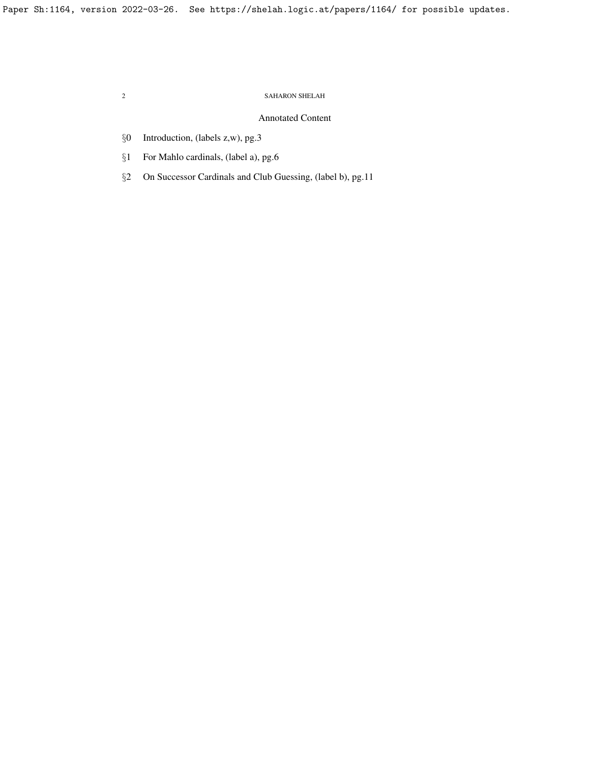# Annotated Content

- §0 Introduction, (labels z,w), pg[.3](#page-2-0)
- §1 For Mahlo cardinals, (label a), pg[.6](#page-5-0)
- §2 On Successor Cardinals and Club Guessing, (label b), pg[.11](#page-10-0)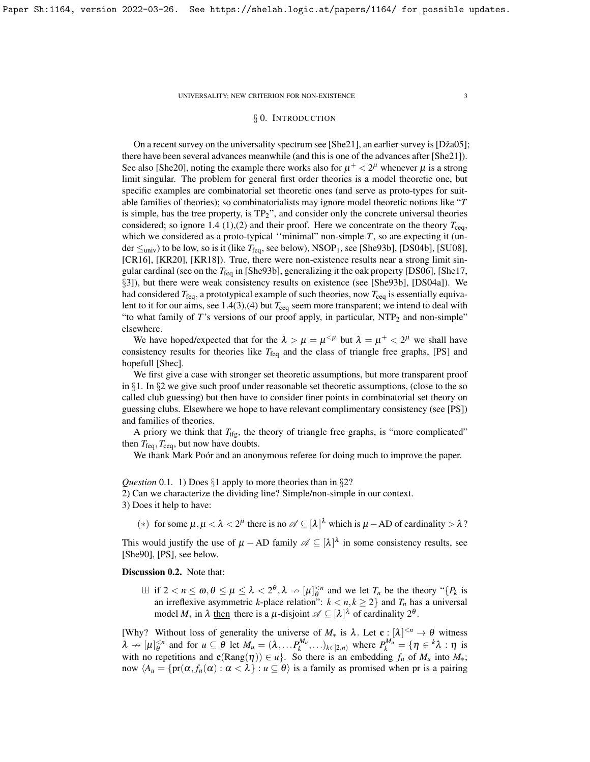# § 0. INTRODUCTION

<span id="page-2-0"></span>On a recent survey on the universality spectrum see [\[She21\]](#page-23-2), an earlier survey is [Dža05]; there have been several advances meanwhile (and this is one of the advances after [\[She21\]](#page-23-2)). See also [\[She20\]](#page-23-4), noting the example there works also for  $\mu^+$  <  $2^{\mu}$  whenever  $\mu$  is a strong limit singular. The problem for general first order theories is a model theoretic one, but specific examples are combinatorial set theoretic ones (and serve as proto-types for suitable families of theories); so combinatorialists may ignore model theoretic notions like "*T* is simple, has the tree property, is TP2", and consider only the concrete universal theories considered; so ignore [1.4](#page-6-0) (1),(2) and their proof. Here we concentrate on the theory  $T_{\text{ceq}}$ , which we considered as a proto-typical "minimal" non-simple *T*, so are expecting it (under  $\leq$ <sub>univ</sub>) to be low, so is it (like  $T_{\text{feq}}$ , see below), NSOP<sub>1</sub>, see [\[She93b\]](#page-23-5), [\[DS04b\]](#page-23-6), [\[SU08\]](#page-23-7), [\[CR16\]](#page-23-8), [\[KR20\]](#page-23-9), [\[KR18\]](#page-23-10)). True, there were non-existence results near a strong limit singular cardinal (see on the  $T_{\text{fea}}$  in [\[She93b\]](#page-23-5), generalizing it the oak property [\[DS06\]](#page-23-11), [\[She17,](#page-23-12) §3]), but there were weak consistency results on existence (see [\[She93b\]](#page-23-5), [\[DS04a\]](#page-23-13)). We had considered *T*feq, a prototypical example of such theories, now *T*ceq is essentially equivalent to it for our aims, see  $1.4(3)$ , (4) but  $T_{\text{ceq}}$  seem more transparent; we intend to deal with "to what family of *T*'s versions of our proof apply, in particular, NTP<sub>2</sub> and non-simple" elsewhere.

We have hoped/expected that for the  $\lambda > \mu = \mu^{1/4}$  but  $\lambda = \mu^{1/4} < 2^{\mu}$  we shall have consistency results for theories like  $T_{\text{feq}}$  and the class of triangle free graphs, [\[PS\]](#page-23-14) and hopefull [\[Shec\]](#page-23-15).

We first give a case with stronger set theoretic assumptions, but more transparent proof in §1. In §2 we give such proof under reasonable set theoretic assumptions, (close to the so called club guessing) but then have to consider finer points in combinatorial set theory on guessing clubs. Elsewhere we hope to have relevant complimentary consistency (see [\[PS\]](#page-23-14)) and families of theories.

A priory we think that  $T_{\text{tfg}}$ , the theory of triangle free graphs, is "more complicated" then  $T_{\text{feq}}$ ,  $T_{\text{ceq}}$ , but now have doubts.

We thank Mark Poór and an anonymous referee for doing much to improve the paper.

*Question* 0.1. 1) Does §1 apply to more theories than in §2?

2) Can we characterize the dividing line? Simple/non-simple in our context.

3) Does it help to have:

(\*) for some  $\mu, \mu < \lambda < 2^{\mu}$  there is no  $\mathscr{A} \subseteq [\lambda]^{\lambda}$  which is  $\mu$  – AD of cardinality  $> \lambda$ ?

This would justify the use of  $\mu$  – AD family  $\mathscr{A} \subseteq [\lambda]^{\lambda}$  in some consistency results, see [\[She90\]](#page-23-16), [\[PS\]](#page-23-14), see below.

# Discussion 0.2. Note that:

 $\exists$  if  $2 < n \leq \omega, \theta \leq \mu \leq \lambda < 2^{\theta}, \lambda \rightarrow [\mu]_{\theta}^{< n}$  and we let  $T_n$  be the theory "{ $P_k$  is an irreflexive asymmetric *k*-place relation":  $k < n, k \ge 2$ } and  $T_n$  has a universal model  $M_*$  in  $\lambda$  then there is a  $\mu$ -disjoint  $\mathscr{A} \subseteq [\lambda]^{\lambda}$  of cardinality  $2^{\theta}$ .

[Why? Without loss of generality the universe of  $M_*$  is  $\lambda$ . Let  $c : [\lambda]^{< n} \to \theta$  witness  $\lambda \to [\mu]_{\theta}^{ and for  $u \subseteq \theta$  let  $M_u = (\lambda, \dots, P_k^{M_u}, \dots)_{k \in [2,n)}$  where  $P_k^{M_u} = \{\eta \in {}^k \lambda : \eta \text{ is } \lambda \leq \eta \}$$ with no repetitions and  $c(Rang(\eta)) \in u$ . So there is an embedding  $f_u$  of  $M_u$  into  $M_*$ ; now  $\langle A_u = \{pr(\alpha, f_u(\alpha) : \alpha < \lambda\} : u \subseteq \theta \rangle$  is a family as promised when pr is a pairing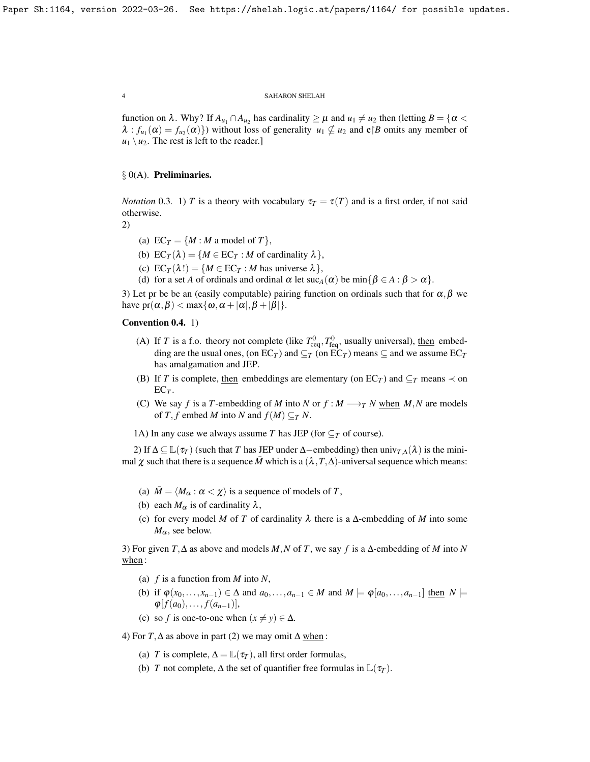function on  $\lambda$ . Why? If  $A_{u_1} \cap A_{u_2}$  has cardinality  $\geq \mu$  and  $u_1 \neq u_2$  then (letting  $B = \{ \alpha <$  $\lambda$ :  $f_{u_1}(\alpha) = f_{u_2}(\alpha)$ }) without loss of generality  $u_1 \nsubseteq u_2$  and  $c \mid B$  omits any member of  $u_1 \setminus u_2$ . The rest is left to the reader.]

# $\S$  0(A). Preliminaries.

*Notation* 0.3. 1) *T* is a theory with vocabulary  $\tau_T = \tau(T)$  and is a first order, if not said otherwise.

2)

- (a) EC<sub>*T*</sub> =  ${M : M \text{ a model of } T}$ ,
- (b)  $EC_T(\lambda) = \{M \in EC_T : M \text{ of cardinality } \lambda\},\$
- (c)  $EC_T(\lambda!) = \{M \in EC_T : M \text{ has universe } \lambda\},\$
- (d) for a set *A* of ordinals and ordinal  $\alpha$  let  $\operatorname{succ}_A(\alpha)$  be  $\min\{\beta \in A : \beta > \alpha\}.$

3) Let pr be be an (easily computable) pairing function on ordinals such that for  $\alpha, \beta$  we have  $pr(\alpha, \beta) < \max{\{\omega, \alpha + |\alpha|, \beta + |\beta|\}}$ .

# Convention 0.4. 1)

- (A) If *T* is a f.o. theory not complete (like  $T_{\text{ceq}}^0$ ,  $T_{\text{feq}}^0$ , usually universal), <u>then</u> embedding are the usual ones, (on  $EC_T$ ) and  $\subseteq$ *T* (on  $\dot{EC_T}$ ) means  $\subseteq$  and we assume  $\dot{EC_T}$ has amalgamation and JEP.
- (B) If *T* is complete, then embeddings are elementary (on  $EC_T$ ) and  $\subseteq_T$  means  $\prec$  on  $EC_T$ .
- (C) We say *f* is a *T*-embedding of *M* into *N* or  $f : M \longrightarrow T N$  when *M*, *N* are models of *T*, *f* embed *M* into *N* and  $f(M) \subseteq T N$ .

1A) In any case we always assume *T* has JEP (for  $\subseteq$ *T* of course).

2) If  $\Delta \subseteq \mathbb{L}(\tau)$  (such that *T* has JEP under  $\Delta$ −embedding) then univ<sub>*T*, $\Delta$ </sub>( $\lambda$ ) is the minimal  $\chi$  such that there is a sequence *M* which is a  $(\lambda, T, \Delta)$ -universal sequence which means:

- (a)  $\overline{M} = \langle M_{\alpha} : \alpha < \chi \rangle$  is a sequence of models of *T*,
- (b) each  $M_{\alpha}$  is of cardinality  $\lambda$ ,
- (c) for every model *M* of *T* of cardinality λ there is a ∆-embedding of *M* into some  $M_{\alpha}$ , see below.

3) For given *T*,∆ as above and models *M*,*N* of *T*, we say *f* is a ∆-embedding of *M* into *N* when:

- (a) *f* is a function from *M* into *N*,
- (b) if  $\varphi(x_0,\ldots,x_{n-1}) \in \Delta$  and  $a_0,\ldots,a_{n-1} \in M$  and  $M \models \varphi[a_0,\ldots,a_{n-1}]$  then  $N \models$  $\varphi[f(a_0),..., f(a_{n-1})],$
- (c) so *f* is one-to-one when  $(x \neq y) \in \Delta$ .

4) For *T*,  $\Delta$  as above in part (2) we may omit  $\Delta$  when:

- (a) *T* is complete,  $\Delta = \mathbb{L}(\tau_T)$ , all first order formulas,
- (b) *T* not complete,  $\Delta$  the set of quantifier free formulas in  $\mathbb{L}(\tau)$ .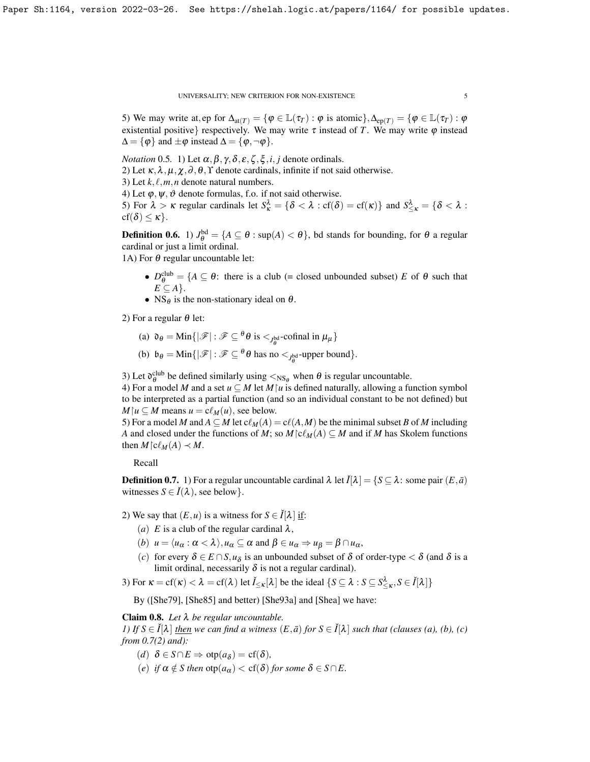5) We may write at, ep for  $\Delta_{\text{at}(T)} = {\phi \in \mathbb{L}(\tau_T) : \phi \text{ is atomic}}$ ,  $\Delta_{\text{ep}(T)} = {\phi \in \mathbb{L}(\tau_T) : \phi \text{ is atomic}}$ existential positive} respectively. We may write  $\tau$  instead of *T*. We may write  $\varphi$  instead  $\Delta = {\varphi}$  and  $\pm \varphi$  instead  $\Delta = {\varphi, \neg \varphi}$ .

*Notation* 0.5. 1) Let  $\alpha, \beta, \gamma, \delta, \varepsilon, \zeta, \xi, i, j$  denote ordinals.

2) Let  $\kappa, \lambda, \mu, \chi, \partial, \theta, \Upsilon$  denote cardinals, infinite if not said otherwise.

3) Let  $k, \ell, m, n$  denote natural numbers.

4) Let  $\varphi, \psi, \vartheta$  denote formulas, f.o. if not said otherwise.

5) For  $\lambda > \kappa$  regular cardinals let  $S^{\lambda}_{\kappa} = \{ \delta < \lambda : \text{cf}(\delta) = \text{cf}(\kappa) \}$  and  $S^{\lambda}_{\leq \kappa} = \{ \delta < \lambda : \text{cf}(\delta) = \text{cf}(\kappa) \}$  $cf(\delta) \leq \kappa$ .

**Definition 0.6.** 1)  $J_{\theta}^{\text{bd}} = \{A \subseteq \theta : \sup(A) < \theta\}$ , bd stands for bounding, for  $\theta$  a regular cardinal or just a limit ordinal.

1A) For  $\theta$  regular uncountable let:

- $D_{\theta}^{\text{club}} = \{A \subseteq \theta: \text{ there is a club } (= \text{closed unbounded subset}) \ E \text{ of } \theta \text{ such that }$  $E \subseteq A$  }.
- NS $_{\theta}$  is the non-stationary ideal on  $\theta$ .

2) For a regular  $\theta$  let:

- (a)  $\mathfrak{d}_{\theta} = \text{Min}\{|\mathscr{F}| : \mathscr{F} \subseteq \theta \theta \text{ is } \lt_{J_{\theta}^{\text{bd}}}\text{-cofinal in } \mu_{\mu}\}\$
- (b)  $\mathfrak{b}_{\theta} = \text{Min}\{|\mathscr{F}| : \mathscr{F} \subseteq {}^{\theta} \theta \text{ has no } <_{J^{\text{bd}}_{\theta}} \text{-upper bound}\}.$

3) Let  $\mathfrak{d}_{\theta}^{\text{club}}$  be defined similarly using  $\langle \text{NS}_{\theta}$  when  $\theta$  is regular uncountable.

4) For a model *M* and a set  $u \subseteq M$  let  $M \mid u$  is defined naturally, allowing a function symbol to be interpreted as a partial function (and so an individual constant to be not defined) but  $M \mid u \subseteq M$  means  $u = c \ell_M(u)$ , see below.

5) For a model *M* and  $A \subseteq M$  let  $c\ell_M(A) = c\ell(A,M)$  be the minimal subset *B* of *M* including *A* and closed under the functions of *M*; so  $M \in \mathcal{C}_M(A) \subseteq M$  and if *M* has Skolem functions then  $M \upharpoonright c \ell_M(A) \prec M$ .

Recall

<span id="page-4-0"></span>**Definition 0.7.** 1) For a regular uncountable cardinal  $\lambda$  let  $\check{I}[\lambda] = \{S \subseteq \lambda : \text{ some pair } (E, \bar{a})\}$ witnesses  $S \in \check{I}(\lambda)$ , see below }.

2) We say that  $(E, u)$  is a witness for  $S \in \check{I}[\lambda]$  if:

- (*a*) *E* is a club of the regular cardinal  $\lambda$ ,
- (*b*)  $u = \langle u_\alpha : \alpha < \lambda \rangle, u_\alpha \subseteq \alpha \text{ and } \beta \in u_\alpha \Rightarrow u_\beta = \beta \cap u_\alpha,$
- (*c*) for every  $\delta \in E \cap S$ ,  $u_{\delta}$  is an unbounded subset of  $\delta$  of order-type  $< \delta$  (and  $\delta$  is a limit ordinal, necessarily  $\delta$  is not a regular cardinal).

3) For  $\kappa = \text{cf}(\kappa) < \lambda = \text{cf}(\lambda)$  let  $\check{I}_{\leq \kappa}[\lambda]$  be the ideal  $\{S \subseteq \lambda : S \subseteq S^{\lambda}_{\leq \kappa}, S \in \check{I}[\lambda]\}$ 

By ([\[She79\]](#page-23-17), [\[She85\]](#page-23-18) and better) [\[She93a\]](#page-23-19) and [\[Shea\]](#page-23-20) we have:

<span id="page-4-1"></span>Claim 0.8. *Let* λ *be regular uncountable.*

*1)* If  $S \in I[\lambda]$  *then we can find a witness*  $(E, \bar{a})$  *for*  $S \in I[\lambda]$  *such that (clauses (a), (b), (c) from [0.7\(](#page-4-0)2) and):*

- $(d)$   $\delta \in S \cap E \Rightarrow \text{otp}(a_{\delta}) = \text{cf}(\delta)$ ,
- (*e*) *if*  $\alpha \notin S$  *then*  $\text{otp}(a_{\alpha}) < \text{cf}(\delta)$  *for some*  $\delta \in S \cap E$ .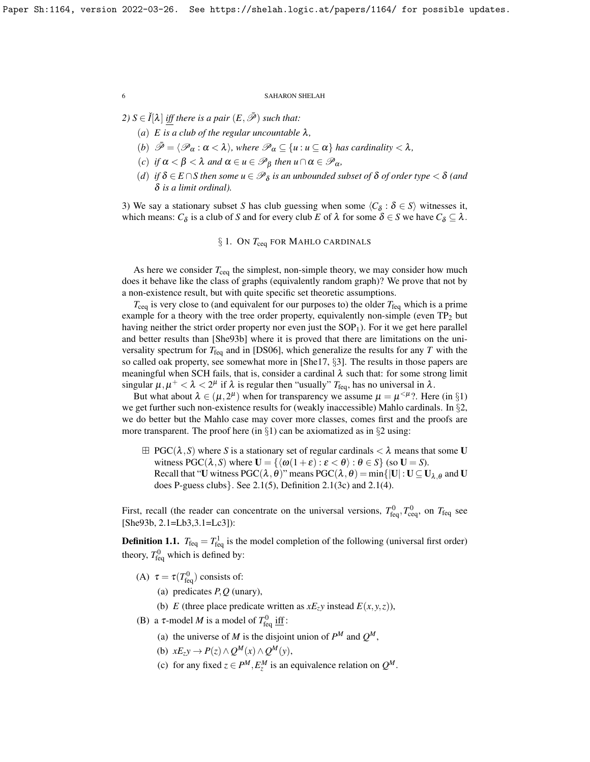*2)*  $S \in \check{I}[\lambda]$  *iff there is a pair*  $(E, \bar{\mathscr{P}})$  *such that:* 

- (*a*) *E is a club of the regular uncountable* λ*,*
- (*b*)  $\bar{\mathscr{P}} = \langle \mathscr{P}_{\alpha} : \alpha < \lambda \rangle$ *, where*  $\mathscr{P}_{\alpha} \subseteq \{u : u \subseteq \alpha\}$  *has cardinality*  $< \lambda$ *,*
- $(c)$  *if*  $\alpha < \beta < \lambda$  and  $\alpha \in u \in \mathscr{P}_{\beta}$  then  $u \cap \alpha \in \mathscr{P}_{\alpha}$ ,
- $(d)$  *if*  $\delta \in E \cap S$  then some  $u \in \mathscr{P}_{\delta}$  is an unbounded subset of  $\delta$  of order type  $< \delta$  (and δ *is a limit ordinal).*

3) We say a stationary subset *S* has club guessing when some  $\langle C_{\delta} : \delta \in S \rangle$  witnesses it, which means:  $C_{\delta}$  is a club of *S* and for every club *E* of  $\lambda$  for some  $\delta \in S$  we have  $C_{\delta} \subseteq \lambda$ .

# § 1. ON  $T_{\text{ceq}}$  FOR MAHLO CARDINALS

<span id="page-5-0"></span>As here we consider  $T_{\text{ceq}}$  the simplest, non-simple theory, we may consider how much does it behave like the class of graphs (equivalently random graph)? We prove that not by a non-existence result, but with quite specific set theoretic assumptions.

*T*<sub>ceq</sub> is very close to (and equivalent for our purposes to) the older *T*<sub>feq</sub> which is a prime example for a theory with the tree order property, equivalently non-simple (even  $TP_2$  but having neither the strict order property nor even just the  $SOP<sub>1</sub>$ ). For it we get here parallel and better results than [\[She93b\]](#page-23-5) where it is proved that there are limitations on the universality spectrum for  $T_{\text{feq}}$  and in [\[DS06\]](#page-23-11), which generalize the results for any  $T$  with the so called oak property, see somewhat more in [\[She17,](#page-23-12) §3]. The results in those papers are meaningful when SCH fails, that is, consider a cardinal  $\lambda$  such that: for some strong limit singular  $\mu, \mu^+ < \lambda < 2^{\mu}$  if  $\lambda$  is regular then "usually"  $T_{\text{feq}}$ , has no universal in  $\lambda$ .

But what about  $\lambda \in (\mu, 2^{\mu})$  when for transparency we assume  $\mu = \mu^{<\mu}$ ?. Here (in §1) we get further such non-existence results for (weakly inaccessible) Mahlo cardinals. In §2, we do better but the Mahlo case may cover more classes, comes first and the proofs are more transparent. The proof here (in  $\S$ 1) can be axiomatized as in  $\S$ 2 using:

 $\boxplus$  PGC( $\lambda$ , S) where S is a stationary set of regular cardinals  $< \lambda$  means that some U witness PGC( $\lambda$ , *S*) where  $\mathbf{U} = {\alpha(1+\varepsilon) : \varepsilon < \theta} : \theta \in S}$  (so  $\mathbf{U} = S$ ). Recall that "U witness PGC( $\lambda$ ,  $\theta$ )" means PGC( $\lambda$ ,  $\theta$ ) = min{|U| : U  $\subseteq$  U<sub> $\lambda$ ,  $\theta$ </sub> and U does P-guess clubs}. See [2.1\(](#page-10-1)5), Definition [2.1\(](#page-10-1)3c) and [2.1\(](#page-10-1)4).

First, recall (the reader can concentrate on the universal versions,  $T_{\text{feq}}^0, T_{\text{ceq}}^0$ , on  $T_{\text{feq}}$  see [\[She93b,](#page-23-5) 2.1=Lb3,3.1=Lc3]):

<span id="page-5-1"></span>**Definition 1.1.**  $T_{\text{feq}} = T_{\text{feq}}^1$  is the model completion of the following (universal first order) theory,  $T_{\text{feq}}^0$  which is defined by:

- (A)  $\tau = \tau(T_{\text{feq}}^0)$  consists of:
	- (a) predicates *P*,*Q* (unary),
	- (b) *E* (three place predicate written as  $xE_zy$  instead  $E(x, y, z)$ ),
- (B) a  $\tau$ -model *M* is a model of  $T_{\text{feq}}^0$  if  $f$ :
	- (a) the universe of *M* is the disjoint union of  $P^M$  and  $Q^M$ ,
	- (b)  $xE_zy \rightarrow P(z) \land Q^M(x) \land Q^M(y)$ ,
	- (c) for any fixed  $z \in P^M, E_z^M$  is an equivalence relation on  $Q^M$ .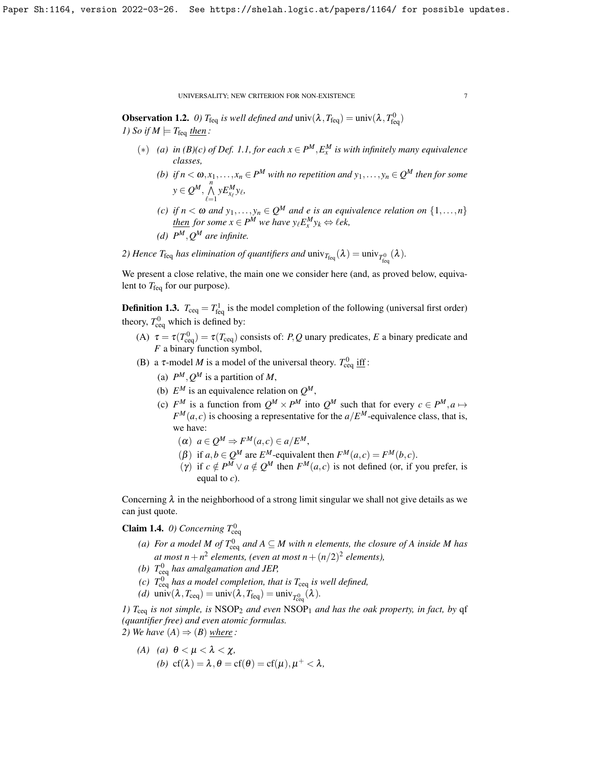**Observation 1.2.** *0)*  $T_{\text{feq}}$  *is well defined and*  $\text{univ}(\lambda, T_{\text{feq}}) = \text{univ}(\lambda, T_{\text{feq}}^0)$ *1)* So if  $M \models T_{\text{feq}}$  then:

- $(*)$  *(a) in (B)(c) of Def.* [1.1,](#page-5-1) *for each*  $x \in P^M, E^M_x$  *is with infinitely many equivalence classes,*
	- $(b)$  *if*  $n < \omega, x_1, \ldots, x_n \in P^M$  with no repetition and  $y_1, \ldots, y_n \in Q^M$  then for some  $y \in Q^M$ ,  $\bigwedge^n$  $yE_{x_{\ell}}^M y_{\ell}$
	- *(c) if*  $n < \omega$  *and*  $y_1, \ldots, y_n \in \mathcal{Q}^M$  *and e is an equivalence relation on*  $\{1, \ldots, n\}$ *then for some*  $x \in P^M$  *we have*  $y_\ell E_x^M y_k \Leftrightarrow \ell e k$ ,
	- *(d)*  $P^M$ ,  $Q^M$  are infinite.

 $_{\ell=1}$ 

2) Hence  $T_{\text{feq}}$  has elimination of quantifiers and  $\text{univ}_{T_{\text{feq}}}(\lambda) = \text{univ}_{T_{\text{feq}}^0}(\lambda)$ .

We present a close relative, the main one we consider here (and, as proved below, equivalent to  $T_{\text{feq}}$  for our purpose).

**Definition 1.3.**  $T_{\text{ceq}} = T_{\text{feq}}^1$  is the model completion of the following (universal first order) theory,  $T_{\text{ceq}}^0$  which is defined by:

- (A)  $\tau = \tau(T_{\text{ceq}}^0) = \tau(T_{\text{ceq}})$  consists of: *P*, *Q* unary predicates, *E* a binary predicate and *F* a binary function symbol,
- (B) a  $\tau$ -model *M* is a model of the universal theory.  $T_{\text{ceq}}^0$  if  $\text{f}$ :
	- (a)  $P^M, Q^M$  is a partition of M,
	- (b)  $E^M$  is an equivalence relation on  $Q^M$ ,
	- (c)  $F^M$  is a function from  $Q^M \times P^M$  into  $Q^M$  such that for every  $c \in P^M, a \mapsto$  $F^M(a, c)$  is choosing a representative for the  $a/E^M$ -equivalence class, that is, we have:

 $(\alpha)$   $a \in Q^M \Rightarrow F^M(a,c) \in a/E^M$ ,

- ( $\beta$ ) if  $a, b \in Q^M$  are  $E^M$ -equivalent then  $F^M(a, c) = F^M(b, c)$ .
- (γ) if  $c \notin P^M \vee a \notin Q^M$  then  $F^M(a, c)$  is not defined (or, if you prefer, is equal to *c*).

Concerning  $\lambda$  in the neighborhood of a strong limit singular we shall not give details as we can just quote.

<span id="page-6-0"></span>**Claim 1.4.** *0)* Concerning  $T_{\text{ceq}}^0$ 

- *(a)* For a model M of  $T_{\text{ceq}}^0$  and  $A \subseteq M$  with n elements, the closure of A inside M has at most  $n + n^2$  elements, (even at most  $n + (n/2)^2$  elements),
- *(b)*  $T_{\text{ceq}}^0$  has amalgamation and JEP,
- *(c)*  $T_{\text{ceq}}^0$  has a model completion, that is  $T_{\text{ceq}}$  is well defined,
- (*d*)  $\text{univ}(\lambda, T_{\text{ceq}}) = \text{univ}(\lambda, T_{\text{feq}}) = \text{univ}_{T_{\text{ceq}}^{0}}(\lambda).$

*1)*  $T_{\text{ceq}}$  *is not simple, is* NSOP<sub>2</sub> *and even* NSOP<sub>1</sub> *and has the oak property, in fact, by* qf *(quantifier free) and even atomic formulas.*

- *2)* We have  $(A) \Rightarrow (B)$  where:
	- *(A) (a)*  $θ < μ < λ < χ$ , (b)  $cf(\lambda) = \lambda, \theta = cf(\theta) = cf(\mu), \mu^+ < \lambda,$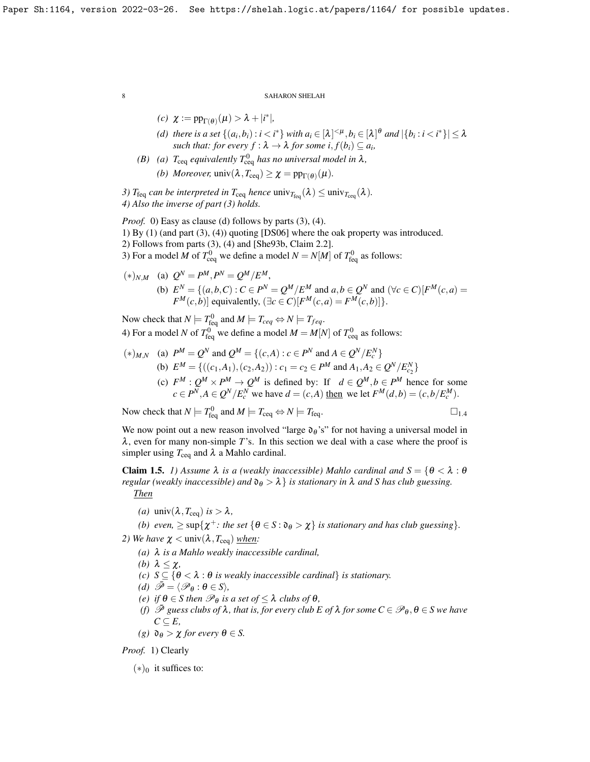$$
(c) \ \ \chi := \operatorname{pp}_{\Gamma(\theta)}(\mu) > \lambda + |i^*|,
$$

- *(d)* there is a set  $\{(a_i,b_i): i < i^*\}$  with  $a_i \in [\lambda]^{<\mu}, b_i \in [\lambda]^\theta$  and  $|\{b_i: i < i^*\}| \leq \lambda$ *such that: for every*  $f : \lambda \to \lambda$  *for some i*,  $f(b_i) \subseteq a_i$ ,
- *(B)* (a)  $T_{\text{ceq}}$  *equivalently*  $T_{\text{ceq}}^0$  *has no universal model in*  $\lambda$ *, (b) Moreover,*  $\text{univ}(\lambda, T_{\text{ceq}}) \geq \chi = \text{pp}_{\Gamma(\theta)}(\mu)$ .

*3)*  $T_{\text{feq}}$  *can be interpreted in*  $T_{\text{ceq}}$  *hence*  $\text{univ}_{T_{\text{feq}}}(\lambda) \leq \text{univ}_{T_{\text{ceq}}}(\lambda)$ *. 4) Also the inverse of part (3) holds.*

*Proof.* 0) Easy as clause (d) follows by parts (3), (4). 1) By (1) (and part (3), (4)) quoting [\[DS06\]](#page-23-11) where the oak property was introduced. 2) Follows from parts (3), (4) and [\[She93b,](#page-23-5) Claim 2.2]. 3) For a model *M* of  $T_{\text{ceq}}^0$  we define a model  $N = N[M]$  of  $T_{\text{feq}}^0$  as follows:

$$
(*)_{N,M} \quad \text{(a)} \quad Q^N = P^M, P^N = Q^M / E^M,
$$
\n
$$
\text{(b)} \quad E^N = \{(a, b, C) : C \in P^N = Q^M / E^M \text{ and } a, b \in Q^N \text{ and } (\forall c \in C) [F^M(c, a) = F^M(c, b)] \text{ equivalently, } (\exists c \in C) [F^M(c, a) = F^M(c, b)]\}.
$$

Now check that  $N \models T_{\text{req}}^0$  and  $M \models T_{\text{req}} \Leftrightarrow N \models T_{\text{req}}$ . 4) For a model *N* of  $T_{\text{feq}}^0$  we define a model  $M = M[N]$  of  $T_{\text{ceq}}^0$  as follows:

- $(*)_{M,N}$  (a)  $P^M = Q^N$  and  $Q^M = \{(c, A) : c \in P^N \text{ and } A \in Q^N / E_c^N\}$ (b)  $E^M = \{((c_1, A_1), (c_2, A_2)) : c_1 = c_2 \in P^M \text{ and } A_1, A_2 \in Q^N / E_{c_2}^N\}$ 
	- (c)  $F^M: Q^M \times P^M \to Q^M$  is defined by: If  $d \in Q^M, b \in P^M$  hence for some  $c \in P^N, A \in Q^N / E_c^N$  we have  $d = (c, A)$  then we let  $F^M(d, b) = (c, b / E_c^M)$ .

Now check that  $N \models T_{\text{feq}}^0$  and  $M \models T_{\text{ceq}} \Leftrightarrow N \models T_{\text{feq}}$ .

We now point out a new reason involved "large  $\mathfrak{d}_{\theta}$ 's" for not having a universal model in  $\lambda$ , even for many non-simple *T*'s. In this section we deal with a case where the proof is simpler using  $T_{\text{ceq}}$  and  $\lambda$  a Mahlo cardinal.

<span id="page-7-0"></span>**Claim 1.5.** *1) Assume*  $\lambda$  *is a (weakly inaccessible) Mahlo cardinal and*  $S = \{ \theta < \lambda : \theta \}$ *regular (weakly inaccessible) and*  $\mathfrak{d}_{\theta} > \lambda$  *is stationary in*  $\lambda$  *and S has club guessing. Then*

*(a)*  $univ(\lambda, T_{ceq})$  *is* >  $\lambda$ *,* 

*(b) even,*  $\geq$  sup $\{\chi^+$ : *the set*  $\{\theta \in S : \mathfrak{d}_{\theta} > \chi\}$  *is stationary and has club guessing*}. *2) We have*  $\chi$  < univ( $\lambda$ ,  $T_{\text{ceq}}$ ) when:

- *(a)* λ *is a Mahlo weakly inaccessible cardinal,*
- *(b)*  $\lambda \leq \chi$ *,*
- *(c)*  $S \subseteq \{ \theta < \lambda : \theta \text{ is weakly inaccessible cardinal} \}$  *is stationary.*
- *(d)*  $\mathscr{P} = \langle \mathscr{P}_{\theta} : \theta \in S \rangle$ ,
- *(e) if*  $\theta \in S$  *then*  $\mathcal{P}_{\theta}$  *is a set of*  $\leq \lambda$  *clubs of*  $\theta$ *,*
- *(f)*  $\bar{\mathcal{P}}$  *guess clubs of*  $\lambda$ *, that is, for every club E of*  $\lambda$  *for some*  $C \in \mathcal{P}_{\theta}$ *,*  $\theta \in S$  *we have*  $C$  ⊂  $E$ ,
- *(g)*  $∂<sub>θ</sub> > χ$  *for every*  $θ ∈ S$ .

*Proof.* 1) Clearly

 $(*)$ <sup>0</sup> it suffices to: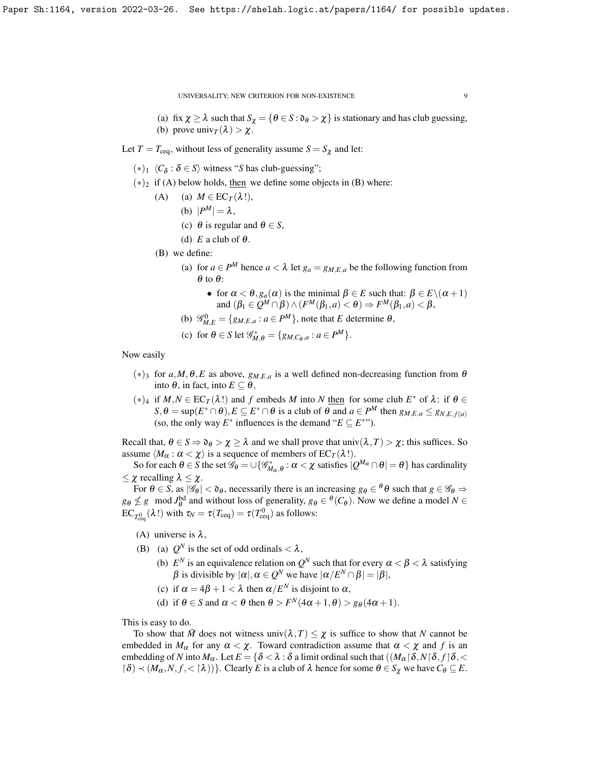- (a) fix  $\chi \ge \lambda$  such that  $S_{\chi} = {\theta \in S : \mathfrak{d}_{\theta} > \chi}$  is stationary and has club guessing, (b) prove  $\text{univ}_T(\lambda) > \chi$ .
- Let  $T = T_{\text{ceq}}$ , without less of generality assume  $S = S_{\chi}$  and let:
	- $(*)_1$   $\langle C_\delta : \delta \in S \rangle$  witness "*S* has club-guessing";
	- $(*)_2$  if (A) below holds, then we define some objects in (B) where:
		- (A) (a)  $M \in EC_T(\lambda!)$ ,
			- (b)  $|P^M| = \lambda$ ,
			- (c)  $\theta$  is regular and  $\theta \in S$ ,
			- (d)  $E$  a club of  $\theta$ .
		- (B) we define:
			- (a) for  $a \in P^M$  hence  $a < \lambda$  let  $g_a = g_{M,E,a}$  be the following function from  $\theta$  to  $\theta$ :
				- for  $\alpha < \theta$ ,  $g_a(\alpha)$  is the minimal  $\beta \in E$  such that:  $\beta \in E \setminus (\alpha + 1)$ and  $(\beta_1 \in Q^M \cap \beta) \wedge (F^M(\beta_1, a) < \theta) \Rightarrow F^M(\beta_1, a) < \beta$ ,
			- (b)  $\mathscr{G}_{M,E}^0 = \{g_{M,E,a} : a \in P^M\}$ , note that *E* determine  $\theta$ ,
			- (c) for  $\theta \in S$  let  $\mathscr{G}_{M,\theta}^* = \{g_{M,C_{\theta},a} : a \in P^M\}.$

## Now easily

- (∗)<sup>3</sup> for *a*,*M*,θ,*E* as above, *gM*,*E*,*<sup>a</sup>* is a well defined non-decreasing function from θ into θ, in fact, into *E* ⊆ θ,
- $(*)_4$  if *M*, *N* ∈ EC<sub>*T*</sub>( $\lambda$ !) and *f* embeds *M* into *N* then for some club *E*<sup>\*</sup> of  $\lambda$ : if  $\theta$  ∈  $S, \theta = \sup(E^* \cap \theta), E \subseteq E^* \cap \theta$  is a club of  $\theta$  and  $a \in P^M$  then  $g_{M,E,a} \leq g_{N,E,f(a)}$ (so, the only way  $E^*$  influences is the demand " $E \subseteq E^{**}$ ").

Recall that,  $\theta \in S \Rightarrow \mathfrak{d}_{\theta} > \chi \geq \lambda$  and we shall prove that univ $(\lambda, T) > \chi$ ; this suffices. So assume  $\langle M_{\alpha} : \alpha < \chi \rangle$  is a sequence of members of EC<sub>*T*</sub>( $\lambda$ !).

So for each  $\theta \in S$  the set  $\mathscr{G}_{\theta} = \cup \{\mathscr{G}_{M_\alpha,\theta}^* : \alpha < \chi \text{ satisfies } |Q^{M_\alpha} \cap \theta| = \theta \}$  has cardinality  $\leq \chi$  recalling  $\lambda \leq \chi$ .

For  $\theta \in S$ , as  $|\mathscr{G}_{\theta}| < \mathfrak{d}_{\theta}$ , necessarily there is an increasing  $g_{\theta} \in {}^{\theta} \theta$  such that  $g \in {}^{\mathscr{G}_{\theta}} \Rightarrow$  $g_{\theta} \nleq g$  mod *J*<sup>bd</sup> and without loss of generality,  $g_{\theta} \in {^{\theta}(C_{\theta})}$ . Now we define a model *N* ∈  $\text{EC}_{T_{\text{ceq}}^{0}}(\lambda!)$  with  $\tau_{N} = \tau(T_{\text{ceq}}) = \tau(T_{\text{ceq}}^{0})$  as follows:

(A) universe is  $\lambda$ ,

- (B) (a)  $Q^N$  is the set of odd ordinals  $\langle \lambda, \rangle$ 
	- (b)  $E^N$  is an equivalence relation on  $Q^N$  such that for every  $\alpha < \beta < \lambda$  satisfying  $\beta$  is divisible by  $|\alpha|, \alpha \in Q^N$  we have  $|\alpha/E^N \cap \beta| = |\beta|,$
	- (c) if  $\alpha = 4\beta + 1 < \lambda$  then  $\alpha / E^N$  is disjoint to  $\alpha$ ,
	- (d) if  $\theta \in S$  and  $\alpha < \theta$  then  $\theta > F^N(4\alpha + 1, \theta) > g_{\theta}(4\alpha + 1)$ .

This is easy to do.

To show that  $\bar{M}$  does not witness univ $(\lambda, T) \leq \chi$  is suffice to show that N cannot be embedded in  $M_{\alpha}$  for any  $\alpha < \chi$ . Toward contradiction assume that  $\alpha < \chi$  and f is an embedding of *N* into  $M_\alpha$ . Let  $E = \{\delta < \lambda : \delta \text{ a limit ordinal such that } ((M_\alpha \upharpoonright \delta, N \upharpoonright \delta, f \upharpoonright \delta, \leq \delta \text{ and } \delta \text{ in } \delta \text{ in } \delta \text{ in } \delta \text{ in } \delta \text{ in } \delta \text{ in } \delta \text{ in } \delta \text{ in } \delta \text{ in } \delta \text{ in } \delta \text{ in } \delta \text{ in } \delta \text{ in } \delta \text{ in } \delta \text{ in } \delta \text{ in } \delta \text{ in } \delta \text{ in } \$  $\{\delta\} \prec (M_{\alpha}, N, f, \langle \delta \rangle)\}.$  Clearly *E* is a club of  $\lambda$  hence for some  $\theta \in S_{\chi}$  we have  $C_{\theta} \subseteq E$ .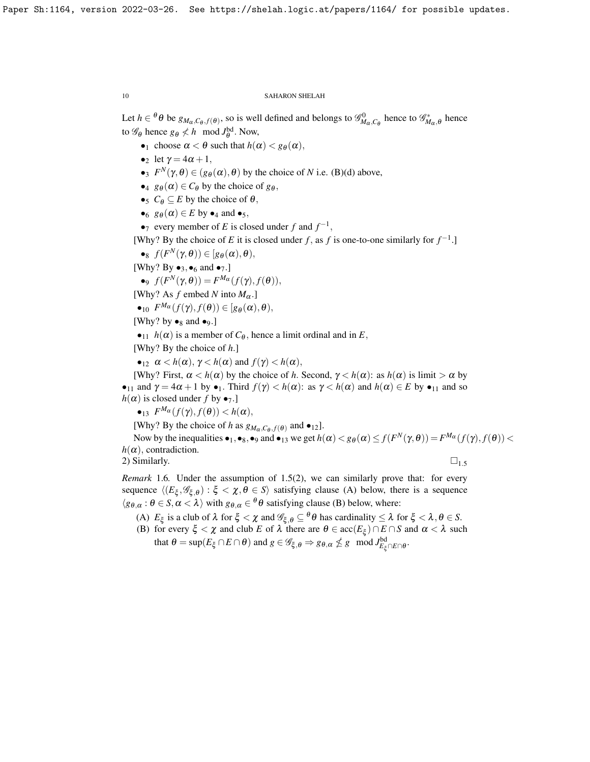Let  $h \in \theta \theta$  be  $g_{M_\alpha, C_\theta, f(\theta)}$ , so is well defined and belongs to  $\mathscr{G}_{M_\alpha, C_\theta}^0$  hence to  $\mathscr{G}_{M_\alpha, \theta}^*$  hence to  $\mathscr{G}_{\theta}$  hence  $g_{\theta} \nless h \mod J_{\theta}^{\text{bd}}$ . Now,

- •<sub>1</sub> choose  $\alpha < \theta$  such that  $h(\alpha) < g_{\theta}(\alpha)$ ,
- let  $\gamma = 4\alpha + 1$ ,
- •3  $F^N(\gamma, \theta) \in (g_{\theta}(\alpha), \theta)$  by the choice of *N* i.e. (B)(d) above,
- $\bullet_4$  *g* $\theta$ ( $\alpha$ )  $\in C_\theta$  by the choice of *g* $theta$ ,
- $\bullet_5$  *C* $\theta \subseteq E$  by the choice of  $\theta$ ,
- $\bullet$ <sub>6</sub>  $g_{\theta}(\alpha) \in E$  by  $\bullet$ <sub>4</sub> and  $\bullet$ <sub>5</sub>,
- • $7$  every member of *E* is closed under *f* and  $f^{-1}$ ,

[Why? By the choice of *E* it is closed under *f*, as *f* is one-to-one similarly for  $f^{-1}$ .]

 $\bullet_8$   $f(F^N(\gamma, \theta)) \in [g_{\theta}(\alpha), \theta),$ 

[Why? By  $\bullet_3, \bullet_6$  and  $\bullet_7$ .]

 $\bullet$ <sup>9</sup>  $f(F^N(\gamma, \theta)) = F^{M_{\alpha}}(f(\gamma), f(\theta)),$ 

[Why? As *f* embed *N* into  $M_{\alpha}$ .]

 $\bullet$ 10  $F^{M_{\alpha}}(f(\gamma), f(\theta)) \in [g_{\theta}(\alpha), \theta),$ 

[Why? by  $\bullet_8$  and  $\bullet_9$ .]

 $\bullet_{11}$  *h*( $\alpha$ ) is a member of *C*<sub>θ</sub>, hence a limit ordinal and in *E*,

[Why? By the choice of *h*.]

 $\bullet_{12} \alpha < h(\alpha)$ ,  $\gamma < h(\alpha)$  and  $f(\gamma) < h(\alpha)$ ,

[Why? First,  $\alpha < h(\alpha)$  by the choice of *h*. Second,  $\gamma < h(\alpha)$ : as  $h(\alpha)$  is limit  $> \alpha$  by •<sub>11</sub> and  $\gamma = 4\alpha + 1$  by •<sub>1</sub>. Third  $f(\gamma) < h(\alpha)$ : as  $\gamma < h(\alpha)$  and  $h(\alpha) \in E$  by •<sub>11</sub> and so  $h(\alpha)$  is closed under *f* by  $\bullet$ <sub>7</sub>.

 $\bullet_{13}$   $F^{M\alpha}(f(\gamma), f(\theta)) < h(\alpha),$ 

[Why? By the choice of *h* as  $g_{M_{\alpha}, C_{\theta}, f(\theta)}$  and  $\bullet$ <sub>12</sub>].

Now by the inequalities  $\bullet_1, \bullet_8, \bullet_9$  and  $\bullet_{13}$  we get  $h(\alpha) < g_{\theta}(\alpha) \le f(F^N(\gamma, \theta)) = F^{M_{\alpha}}(f(\gamma), f(\theta)) <$  $h(\alpha)$ , contradiction.

2) Similarly.  $\square_{1.5}$  $\square_{1.5}$  $\square_{1.5}$ 

*Remark* 1.6*.* Under the assumption of [1.5\(](#page-7-0)2), we can similarly prove that: for every sequence  $\langle (E_{\xi}, \mathscr{G}_{\xi, \theta}) : \xi < \chi, \theta \in S \rangle$  satisfying clause (A) below, there is a sequence  $\langle g_{\theta,\alpha} : \theta \in S, \alpha < \lambda \rangle$  with  $g_{\theta,\alpha} \in {}^{\theta} \theta$  satisfying clause (B) below, where:

(A)  $E_{\xi}$  is a club of  $\lambda$  for  $\xi < \chi$  and  $\mathscr{G}_{\xi,\theta} \subseteq^{\theta} \theta$  has cardinality  $\leq \lambda$  for  $\xi < \lambda, \theta \in S$ .

(B) for every  $\xi < \chi$  and club *E* of  $\lambda$  there are  $\theta \in acc(E_{\xi}) \cap E \cap S$  and  $\alpha < \lambda$  such that  $\theta = \sup(E_{\xi} \cap E \cap \theta)$  and  $g \in \mathscr{G}_{\xi, \theta} \Rightarrow g_{\theta, \alpha} \nleq g \mod J_{E_{\xi} \cap E \cap \theta}^{\text{bd}}$ .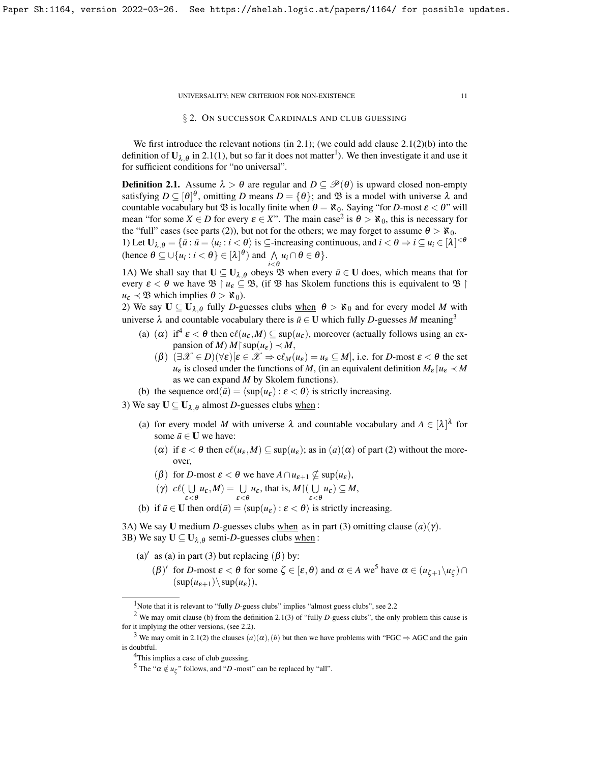# § 2. ON SUCCESSOR CARDINALS AND CLUB GUESSING

<span id="page-10-0"></span>We first introduce the relevant notions (in [2.1\)](#page-10-1); (we could add clause  $2.1(2)(b)$  into the definition of  $U_{\lambda,\theta}$  in [2.1\(](#page-10-1)[1](#page-10-2)), but so far it does not matter<sup>1</sup>). We then investigate it and use it for sufficient conditions for "no universal".

<span id="page-10-1"></span>**Definition 2.1.** Assume  $\lambda > \theta$  are regular and  $D \subseteq \mathcal{P}(\theta)$  is upward closed non-empty satisfying  $D \subseteq [\theta]^\theta$ , omitting *D* means  $D = \{\theta\}$ ; and  $\mathfrak{B}$  is a model with universe  $\lambda$  and countable vocabulary but  $\mathfrak{B}$  is locally finite when  $\theta = \aleph_0$ . Saying "for *D*-most  $\varepsilon < \theta$ " will mean "for some  $X \in D$  for every  $\varepsilon \in X$ ". The main case<sup>[2](#page-10-3)</sup> is  $\theta > \aleph_0$ , this is necessary for the "full" cases (see parts (2)), but not for the others; we may forget to assume  $\theta > \aleph_0$ . 1) Let  $\mathbf{U}_{\lambda,\theta} = {\{\overline{u} : \overline{u} = \langle u_i : i < \theta \rangle \text{ is } \subseteq \text{-increasing continuous, and } i < \theta \Rightarrow i \subseteq u_i \in [\lambda]^{<\theta}}$ (hence  $\theta \subseteq \bigcup \{u_i : i < \theta\} \in [\lambda]^{\theta}$ ) and  $\bigwedge$  $\bigwedge_{i<\theta} u_i \cap \theta \in \theta$ .

1A) We shall say that  $U \subseteq U_{\lambda,\theta}$  obeys  $\mathfrak{B}$  when every  $\bar{u} \in U$  does, which means that for every  $\varepsilon < \theta$  we have  $\mathfrak{B} \restriction u_{\varepsilon} \subseteq \mathfrak{B}$ , (if  $\mathfrak{B}$  has Skolem functions this is equivalent to  $\mathfrak{B} \restriction$  $u_{\varepsilon} \prec \mathfrak{B}$  which implies  $\theta > \aleph_0$ ).

2) We say  $U \subseteq U_{\lambda,\theta}$  fully *D*-guesses clubs <u>when</u>  $\theta > \aleph_0$  and for every model *M* with universe  $\lambda$  and countable vocabulary there is  $\bar{u} \in U$  which fully *D*-guesses *M* meaning<sup>[3](#page-10-4)</sup>

- (a) ( $\alpha$ ) if<sup>[4](#page-10-5)</sup>  $\varepsilon < \theta$  then  $c\ell(u_{\varepsilon},M) \subseteq \sup(u_{\varepsilon})$ , moreover (actually follows using an expansion of *M*)  $M \upharpoonright \sup(u_{\varepsilon}) \prec M$ ,
	- $(\beta)$   $(\exists \mathcal{X} \in D)(\forall \varepsilon)[\varepsilon \in \mathcal{X} \Rightarrow c\ell_M(u_{\varepsilon}) = u_{\varepsilon} \subseteq M]$ , i.e. for *D*-most  $\varepsilon < \theta$  the set *u*<sub>ε</sub> is closed under the functions of *M*, (in an equivalent definition  $M_{\varepsilon} | u_{\varepsilon} \prec M$ as we can expand *M* by Skolem functions).
- (b) the sequence ord( $\bar{u}$ ) =  $\langle \sup(u_{\varepsilon}) : \varepsilon < \theta \rangle$  is strictly increasing.

3) We say  $U \subseteq U_{\lambda,\theta}$  almost *D*-guesses clubs when:

- (a) for every model M with universe  $\lambda$  and countable vocabulary and  $A \in [\lambda]^{\lambda}$  for some  $\bar{u} \in U$  we have:
	- ( $\alpha$ ) if  $\varepsilon < \theta$  then  $c\ell(u_{\varepsilon},M) \subseteq \sup(u_{\varepsilon})$ ; as in  $(a)(\alpha)$  of part (2) without the moreover,
	- ( $\beta$ ) for *D*-most  $\varepsilon < \theta$  we have  $A \cap u_{\varepsilon+1} \nsubseteq \sup(u_{\varepsilon}),$
	- $(\gamma)$  cl(  $\bigcup$  $\bigcup_{\varepsilon < \theta} u_{\varepsilon}, M$  =  $\bigcup_{\varepsilon < \theta} u_{\varepsilon}$ , that is,  $M \cap (\bigcup_{\varepsilon < \theta} u_{\varepsilon})$  $\bigcup_{\varepsilon < \theta} u_{\varepsilon}$ )  $\subseteq M$ ,
- (b) if  $\bar{u} \in U$  then ord $(\bar{u}) = \langle \sup(u_{\varepsilon}) : \varepsilon < \theta \rangle$  is strictly increasing.

3A) We say **U** medium *D*-guesses clubs when as in part (3) omitting clause  $(a)(\gamma)$ . 3B) We say  $\mathbf{U} \subseteq \mathbf{U}_{\lambda,\theta}$  semi-*D*-guesses clubs <u>when</u>:

- (a)' as (a) in part (3) but replacing  $(\beta)$  by:
	- $(\beta)'$  for *D*-most  $\varepsilon < \theta$  for some  $\zeta \in [\varepsilon, \theta)$  and  $\alpha \in A$  we<sup>[5](#page-10-6)</sup> have  $\alpha \in (u_{\zeta+1} \setminus u_{\zeta}) \cap$  $(\sup(u_{\varepsilon+1})\setminus \sup(u_{\varepsilon})),$

<span id="page-10-3"></span><span id="page-10-2"></span><sup>&</sup>lt;sup>1</sup>Note that it is relevant to "fully *D*-guess clubs" implies "almost guess clubs", see [2.2](#page-12-0)

<sup>&</sup>lt;sup>2</sup> We may omit clause (b) from the definition [2.1\(](#page-10-1)3) of "fully *D*-guess clubs", the only problem this cause is for it implying the other versions, (see [2.2\)](#page-12-0).

<span id="page-10-4"></span><sup>&</sup>lt;sup>3</sup> We may omit in [2.1\(](#page-10-1)2) the clauses  $(a)(\alpha)$ ,  $(b)$  but then we have problems with "FGC  $\Rightarrow$  AGC and the gain is doubtful.

<span id="page-10-5"></span><sup>&</sup>lt;sup>4</sup>This implies a case of club guessing.

<span id="page-10-6"></span><sup>&</sup>lt;sup>5</sup> The " $\alpha \notin u_{\zeta}$ " follows, and "*D* -most" can be replaced by "all".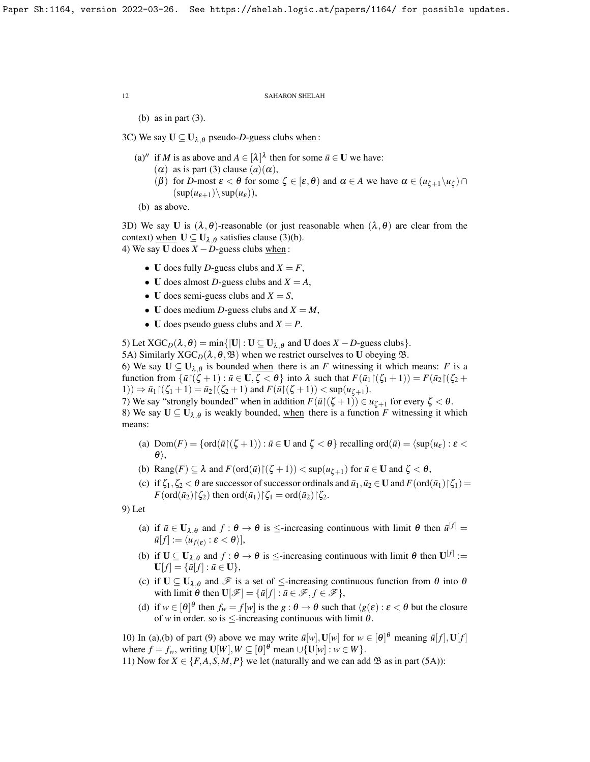(b) as in part (3).

3C) We say  $U \subseteq U_{\lambda,\theta}$  pseudo-*D*-guess clubs when:

- (a)<sup>*''*</sup> if *M* is as above and  $A \in [\lambda]^{\lambda}$  then for some  $\bar{u} \in U$  we have:
	- $(\alpha)$  as is part (3) clause  $(a)(\alpha)$ ,
	- (β) for *D*-most  $\varepsilon < \theta$  for some  $\zeta \in [\varepsilon, \theta)$  and  $\alpha \in A$  we have  $\alpha \in (u_{\zeta+1} \setminus u_{\zeta}) \cap$  $(\sup(u_{\varepsilon+1})\setminus \sup(u_{\varepsilon})),$

```
(b) as above.
```
3D) We say U is  $(\lambda, \theta)$ -reasonable (or just reasonable when  $(\lambda, \theta)$  are clear from the context) when  $U \subseteq U_{\lambda,\theta}$  satisfies clause (3)(b). 4) We say **U** does  $X - D$ -guess clubs when:

- U does fully *D*-guess clubs and  $X = F$ ,
- U does almost *D*-guess clubs and  $X = A$ ,
- U does semi-guess clubs and  $X = S$ ,
- U does medium *D*-guess clubs and  $X = M$ ,
- U does pseudo guess clubs and  $X = P$ .

5) Let  $XGC_D(\lambda, \theta) = \min\{|U| : U \subseteq U_{\lambda, \theta} \text{ and } U \text{ does } X - D \text{-guess clubs}\}.$ 

5A) Similarly  $XGC_D(\lambda,\theta,\mathfrak{B})$  when we restrict ourselves to U obeying  $\mathfrak{B}$ .

6) We say  $U \subseteq U_{\lambda,\theta}$  is bounded <u>when</u> there is an *F* witnessing it which means: *F* is a function from  $\{\bar{u}\mid (\zeta + 1) : \bar{u} \in \mathbf{U}, \zeta < \theta\}$  into  $\lambda$  such that  $F(\bar{u}_1 | (\zeta_1 + 1)) = F(\bar{u}_2 | (\zeta_2 +$ 1)) ⇒  $\bar{u}_1$  | ( $\zeta_1$  + 1) =  $\bar{u}_2$  | ( $\zeta_2$  + 1) and  $F(\bar{u}$  | ( $\zeta$  + 1)) < sup( $u_{\zeta+1}$ ).

7) We say "strongly bounded" when in addition  $F(\bar{u}(\zeta + 1)) \in u_{\zeta + 1}$  for every  $\zeta < \theta$ . 8) We say  $U \subseteq U_{\lambda,\theta}$  is weakly bounded, <u>when</u> there is a function *F* witnessing it which means:

- (a)  $Dom(F) = \{ ord(\bar{u} \mid (\zeta + 1)) : \bar{u} \in U \text{ and } \zeta < \theta \}$  recalling  $ord(\bar{u}) = \langle sup(u_{\epsilon}) : \epsilon <$  $\theta$ ,
- (b) Rang $(F) \subseteq \lambda$  and  $F(\text{ord}(\bar{u}) \mid (\zeta + 1)) < \sup(u_{\zeta + 1})$  for  $\bar{u} \in U$  and  $\zeta < \theta$ ,
- (c) if  $\zeta_1, \zeta_2 < \theta$  are successor of successor ordinals and  $\bar{u}_1, \bar{u}_2 \in U$  and  $F(\text{ord}(\bar{u}_1))\zeta_1$  =  $F(\text{ord}(\bar{u}_2)\upharpoonright \zeta_2)$  then  $\text{ord}(\bar{u}_1)\upharpoonright \zeta_1 = \text{ord}(\bar{u}_2)\upharpoonright \zeta_2$ .

9) Let

- (a) if  $\bar{u} \in \mathbf{U}_{\lambda,\theta}$  and  $f: \theta \to \theta$  is  $\leq$ -increasing continuous with limit  $\theta$  then  $\bar{u}^{[f]} =$  $\bar{u}[f] := \langle u_{f(\boldsymbol{\varepsilon})} : \boldsymbol{\varepsilon} < \boldsymbol{\theta} \rangle],$
- (b) if  $\mathbf{U} \subseteq \mathbf{U}_{\lambda,\theta}$  and  $f : \theta \to \theta$  is  $\leq$ -increasing continuous with limit  $\theta$  then  $\mathbf{U}^{[f]} :=$  $U[f] = {\bar{u}[f] : \bar{u} \in U},$
- (c) if  $U \subseteq U_{\lambda,\theta}$  and  $\mathscr F$  is a set of  $\leq$ -increasing continuous function from  $\theta$  into  $\theta$ with limit  $\theta$  then  $\mathbf{U}[\mathscr{F}] = {\bar{u}[f] : \bar{u} \in \mathscr{F}, f \in \mathscr{F}}$ ,
- (d) if  $w \in [\theta]^{\theta}$  then  $f_w = f[w]$  is the  $g : \theta \to \theta$  such that  $\langle g(\varepsilon) : \varepsilon < \theta$  but the closure of *w* in order. so is  $\leq$ -increasing continuous with limit  $\theta$ .

10) In (a),(b) of part (9) above we may write  $\bar{u}[w], \mathbf{U}[w]$  for  $w \in [\theta]^{\theta}$  meaning  $\bar{u}[f], \mathbf{U}[f]$ where  $f = f_w$ , writing  $\mathbf{U}[W], W \subseteq [\theta]^{\theta}$  mean  $\cup \{ \mathbf{U}[w] : w \in W \}$ .

11) Now for  $X \in \{F, A, S, M, P\}$  we let (naturally and we can add  $\mathfrak{B}$  as in part (5A)):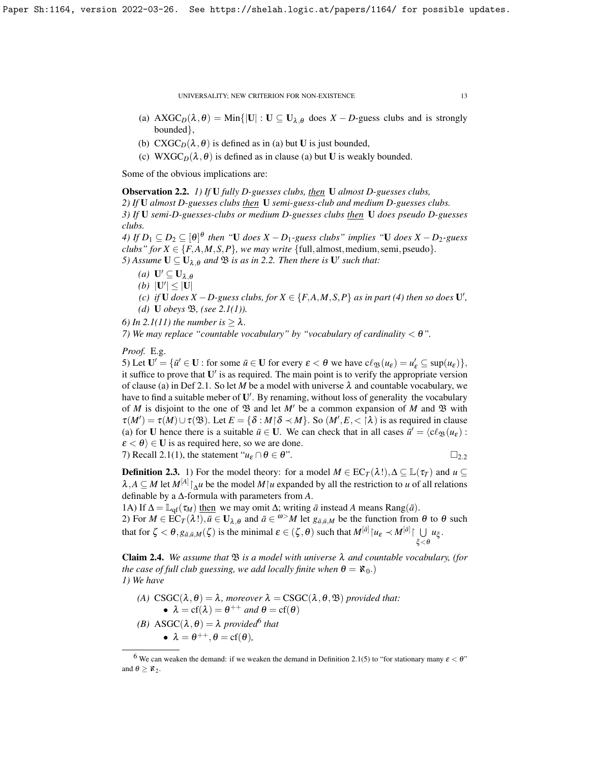- (a)  $\text{AXGC}_D(\lambda, \theta) = \text{Min}\{|U| : U \subseteq U_{\lambda, \theta} \text{ does } X D \text{-guess clubs and is strongly} \}$ bounded},
- (b)  $\text{C} \text{X} \text{G} \text{C}_D(\lambda, \theta)$  is defined as in (a) but **U** is just bounded,
- (c) WXGC<sub>D</sub>( $\lambda$ , $\theta$ ) is defined as in clause (a) but U is weakly bounded.

Some of the obvious implications are:

<span id="page-12-0"></span>Observation 2.2. *1) If* U *fully D-guesses clubs, then* U *almost D-guesses clubs,*

*2) If* U *almost D-guesses clubs then* U *semi-guess-club and medium D-guesses clubs. 3) If* U *semi-D-guesses-clubs or medium D-guesses clubs then* U *does pseudo D-guesses clubs.*

*4)* If  $D_1 ⊆ D_2 ⊆ [\theta]^\theta$  then "U does  $X - D_1$ -guess clubs" implies "U does  $X - D_2$ -guess *clubs" for*  $X \in \{F, A, M, S, P\}$ *, we may write* {full, almost, medium, semi, pseudo}.

*5)* Assume  $U \subseteq U_{\lambda,\theta}$  and  $\mathfrak{B}$  *is as in* [2.2.](#page-12-0) Then there is  $U'$  such that:

- *(a)*  $\mathbf{U}' \subseteq \mathbf{U}_{\lambda,\theta}$
- *(b)*  $|U'| \leq |U|$

*(c) if* **U** *does*  $X$  − *D*-guess clubs, for  $X \in \{F, A, M, S, P\}$  *as in part (4) then so does* **U**', *(d)* U *obeys* B*, (see [2.1\(](#page-10-1)1)).*

*6)* In [2.1\(](#page-10-1)11) the number is  $> \lambda$ .

*7) We may replace "countable vocabulary" by "vocabulary of cardinality* < θ*".*

*Proof.* E.g.

5) Let  $\mathbf{U}' = {\mathbf{u}' \in \mathbf{U} : \text{for some } \overline{u} \in \mathbf{U} \text{ for every } \varepsilon < \theta \text{ we have } \mathrm{c} \ell_{\mathfrak{B}}(u_{\varepsilon}) = u'_{\varepsilon} \subseteq \mathrm{sup}(u_{\varepsilon})}$ , it suffice to prove that  $U'$  is as required. The main point is to verify the appropriate version of clause (a) in Def [2.1.](#page-10-1) So let *M* be a model with universe  $\lambda$  and countable vocabulary, we have to find a suitable meber of  $U'$ . By renaming, without loss of generality the vocabulary of *M* is disjoint to the one of  $\mathfrak{B}$  and let *M'* be a common expansion of *M* and  $\mathfrak{B}$  with  $\tau(M') = \tau(M) \cup \tau(\mathfrak{B})$ . Let  $E = \{\delta : M \mid \delta \prec M\}$ . So  $(M', E, \langle \lambda \rangle)$  is as required in clause (a) for U hence there is a suitable  $\bar{u} \in U$ . We can check that in all cases  $\bar{u}' = \langle c \ell_{\mathfrak{B}}(u_{\varepsilon}) :$  $\epsilon < \theta$ )  $\in$  U is as required here, so we are done. 7) Recall [2.1\(](#page-10-1)1), the statement " $u_{\varepsilon} \cap \theta \in \theta$ ".  $\square_{2,2}$  $\square_{2,2}$  $\square_{2,2}$ 

**Definition 2.3.** 1) For the model theory: for a model  $M \in \mathbb{E}C_T(\lambda!)$ ,  $\Delta \subseteq \mathbb{L}(\tau_T)$  and  $u \subseteq$  $\lambda$ ,  $A \subseteq M$  let  $M^{[A]} \upharpoonright_{\Delta} u$  be the model  $M \upharpoonright u$  expanded by all the restriction to *u* of all relations definable by a ∆-formula with parameters from *A*.

1A) If  $\Delta = \mathbb{L}_{qf}(\tau_M)$  then we may omit  $\Delta$ ; writing  $\bar{a}$  instead A means Rang( $\bar{a}$ ). 2) For  $M \in \text{EC}_T(\lambda!)$ ,  $\bar{u} \in \mathbf{U}_{\lambda,\theta}$  and  $\bar{a} \in \omega^{\geq} M$  let  $g_{\bar{a},\bar{u},M}$  be the function from  $\theta$  to  $\theta$  such that for  $\zeta < \theta$ ,  $g_{\bar{a},\bar{u},M}(\zeta)$  is the minimal  $\varepsilon \in (\zeta, \theta)$  such that  $M^{[\bar{a}]}|u_{\varepsilon} \prec M^{[\bar{a}]}| \cup u_{\xi}$ .  $\xi<\theta$ 

<span id="page-12-2"></span>Claim 2.4. *We assume that* B *is a model with universe* λ *and countable vocabulary, (for the case of full club guessing, we add locally finite when*  $\theta = \aleph_0$ .) *1) We have*

- *(A)*  $\text{CSGC}(\lambda, \theta) = \lambda$ *, moreover*  $\lambda = \text{CSGC}(\lambda, \theta, \mathcal{B})$  *provided that:* •  $\lambda = cf(\lambda) = \theta^{++}$  *and*  $\theta = cf(\theta)$ *(B)*  $\text{ASGC}(\lambda, \theta) = \lambda$  *provided*<sup>[6](#page-12-1)</sup> *that* 
	- $\lambda = \theta^{++}, \theta = \text{cf}(\theta)$ *,*

<span id="page-12-1"></span><sup>&</sup>lt;sup>6</sup> We can weaken the demand: if we weaken the demand in Definition [2.1\(](#page-10-1)5) to "for stationary many  $\varepsilon < \theta$ " and  $\theta \geq \aleph_2$ .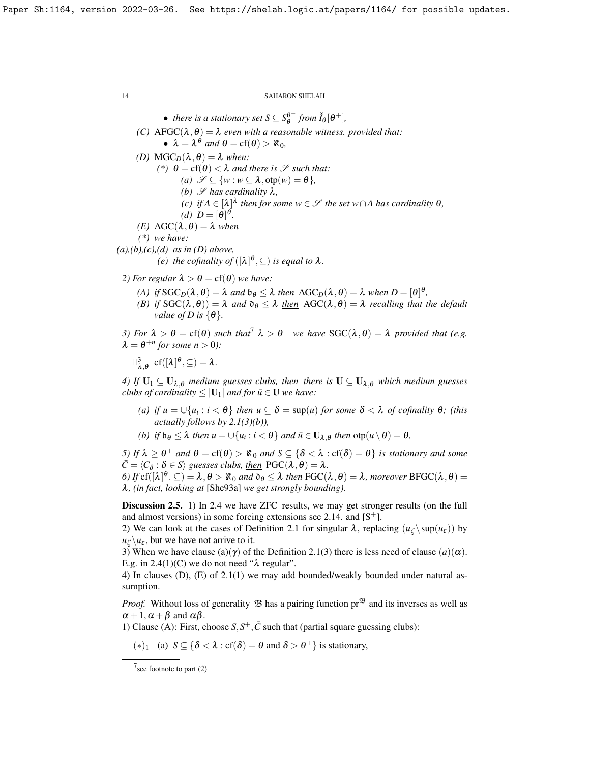• there is a stationary set 
$$
S \subseteq S_{\theta}^{\theta^+}
$$
 from  $\check{I}_{\theta}[\theta^+]$ ,

- *(C)* AFGC( $\lambda$ , $\theta$ ) =  $\lambda$  *even with a reasonable witness. provided that:*  $\bullet \ \lambda = \lambda^{\theta}$  and  $\theta = cf(\theta) > \aleph_0$ ,
- *(D)* MGC<sub>D</sub>( $\lambda$ , $\theta$ ) =  $\lambda$  *when:* 
	- *(\*)*  $\theta = cf(\theta) < \lambda$  *and there is*  $\mathscr S$  *such that:* 
		- *(a)*  $\mathscr{S} \subseteq \{w : w \subseteq \lambda, \text{otp}(w) = \theta\},\$
		- *(b)*  $\mathscr S$  *has cardinality*  $\lambda$ *,*
		- $f(c)$  *if*  $A \in [\lambda]^{\lambda}$  *then for some*  $w \in \mathcal{S}$  *the set*  $w \cap A$  *has cardinality*  $\theta$ *,*
		- (*d*)  $D = [\theta]^\theta$ .
- *(E)* AGC( $λ$ *,*  $θ$ *)* =  $λ$  *when*

*(\*) we have:*

*(a),(b),(c),(d) as in (D) above,*

*(e)* the cofinality of  $([\lambda]^\theta, \subseteq)$  is equal to  $\lambda$ .

- *2) For regular*  $\lambda > \theta = cf(\theta)$  *we have:* 
	- *(A) if*  $SGC_D(\lambda, \theta) = \lambda$  *and*  $\mathfrak{b}_{\theta} \leq \lambda$  <u>*then*</u>  $AGC_D(\lambda, \theta) = \lambda$  when  $D = [\theta]^{\theta}$ ,
	- *(B) if*  $SGC(\lambda, \theta) = \lambda$  *and*  $\partial_{\theta} \leq \lambda$  *then*  $AGC(\lambda, \theta) = \lambda$  *recalling that the default value of D is*  $\{\theta\}$ *.*

*3)* For  $\lambda > \theta = \text{cf}(\theta)$  such that  $\lambda > \theta^+$  we have  $\text{SGC}(\lambda, \theta) = \lambda$  provided that (e.g.  $\lambda = \theta^{+n}$  for some  $n > 0$ ):

 $\boxplus_{\lambda,\theta}^3 \text{ cf}([\lambda]^\theta,\subseteq) = \lambda.$ 

*4)* If  $U_1 \subseteq U_{\lambda,\theta}$  *medium guesses clubs, then there is*  $U \subseteq U_{\lambda,\theta}$  *which medium guesses clubs of cardinality*  $\leq |U_1|$  *and for*  $\bar{u} \in U$  *we have:* 

- *(a) if*  $u = \bigcup \{u_i : i < \theta\}$  *then*  $u \subseteq \delta = \sup(u)$  *for some*  $\delta < \lambda$  *of cofinality*  $\theta$ ; *(this actually follows by [2.1\(](#page-10-1)3)(b)),*
- *(b) if*  $\mathfrak{b}_{\theta} \leq \lambda$  *then*  $u = \cup \{u_i : i < \theta\}$  *and*  $\bar{u} \in \mathbf{U}_{\lambda, \theta}$  *then*  $\text{otp}(u \setminus \theta) = \theta$ *,*

*5)* If  $\lambda \ge \theta^+$  and  $\theta = \text{cf}(\theta) > \aleph_0$  and  $S \subseteq \{ \delta < \lambda : \text{cf}(\delta) = \theta \}$  is stationary and some  $\bar{C} = \langle C_{\delta} : \delta \in S \rangle$  *guesses clubs, <u>then</u>*  $PGC(\lambda, \theta) = \lambda$ *.* 

*6)* If  $cf([\lambda]^{\theta} \cdot \subseteq) = \lambda, \theta > \aleph_0$  and  $\mathfrak{d}_{\theta} \leq \lambda$  then  $FGC(\lambda, \theta) = \lambda$ , moreover  $BFGC(\lambda, \theta) = \emptyset$ λ*, (in fact, looking at* [\[She93a\]](#page-23-19) *we get strongly bounding).*

Discussion 2.5. 1) In [2.4](#page-12-2) we have ZFC results, we may get stronger results (on the full and almost versions) in some forcing extensions see [2.14.](#page-21-0) and  $[S^+]$  $[S^+]$ .

2) We can look at the cases of Definition [2.1](#page-10-1) for singular  $\lambda$ , replacing  $(u_\zeta \setminus \sup(u_\varepsilon))$  by  $u_\zeta \setminus u_\varepsilon$ , but we have not arrive to it.

3) When we have clause (a)( $\gamma$ ) of the Definition [2.1\(](#page-10-1)3) there is less need of clause (a)( $\alpha$ ). E.g. in  $2.4(1)(C)$  we do not need " $\lambda$  regular".

4) In clauses (D), (E) of [2.1\(](#page-10-1)1) we may add bounded/weakly bounded under natural assumption.

*Proof.* Without loss of generality  $\mathfrak B$  has a pairing function  $pr^{\mathfrak B}$  and its inverses as well as  $\alpha + 1$ ,  $\alpha + \beta$  and  $\alpha\beta$ .

1) Clause (A): First, choose  $S, S^+, \bar{C}$  such that (partial square guessing clubs):

(\*)<sub>1</sub> (a)  $S \subseteq {\delta < \lambda : cf(\delta) = \theta \text{ and } \delta > \theta^+}$  is stationary,

<span id="page-13-0"></span> $7$  see footnote to part  $(2)$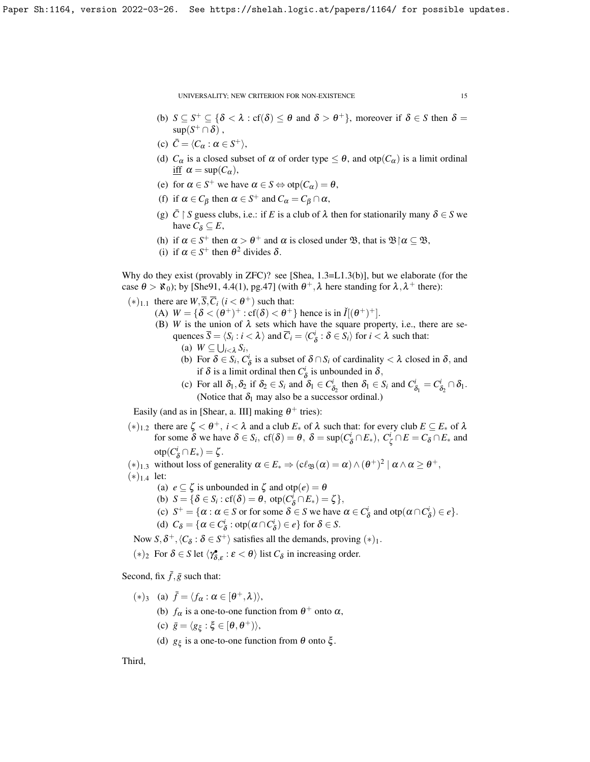- (b)  $S \subseteq S^+ \subseteq {\delta < \lambda : \text{cf}(\delta) \le \theta \text{ and } \delta > \theta^+}$ , moreover if  $\delta \in S$  then  $\delta =$  $\sup(S^+\cap\delta)$ ,
- (c)  $\bar{C} = \langle C_{\alpha} : \alpha \in S^+ \rangle,$
- (d)  $C_{\alpha}$  is a closed subset of  $\alpha$  of order type  $\leq \theta$ , and otp $(C_{\alpha})$  is a limit ordinal iff  $\alpha = \sup(C_{\alpha})$ ,
- (e) for  $\alpha \in S^+$  we have  $\alpha \in S \Leftrightarrow \text{otp}(C_{\alpha}) = \theta$ ,
- (f) if  $\alpha \in C_\beta$  then  $\alpha \in S^+$  and  $C_\alpha = C_\beta \cap \alpha$ ,
- (g)  $\bar{C} \restriction S$  guess clubs, i.e.: if *E* is a club of  $\lambda$  then for stationarily many  $\delta \in S$  we have  $C_{\delta} \subseteq E$ ,
- (h) if  $\alpha \in S^+$  then  $\alpha > \theta^+$  and  $\alpha$  is closed under  $\mathfrak{B}$ , that is  $\mathfrak{B} \upharpoonright \alpha \subseteq \mathfrak{B}$ ,
- (i) if  $\alpha \in S^+$  then  $\theta^2$  divides  $\delta$ .

Why do they exist (provably in ZFC)? see [\[Shea,](#page-23-20)  $1.3=L1.3(b)$ ], but we elaborate (for the case  $\theta > \mathfrak{K}_0$ ); by [\[She91,](#page-23-21) 4.4(1), pg.47] (with  $\theta^+$ ,  $\lambda$  here standing for  $\lambda$ ,  $\lambda^+$  there):

- $(*)_{1,1}$  there are  $W, \overline{S}, \overline{C}_i$   $(i < \theta^+)$  such that:
	- (A)  $W = \{ \delta < (\theta^+)^+ : \text{cf}(\delta) < \theta^+ \}$  hence is in  $\check{I}[(\theta^+)^+]$ .
		- (B) *W* is the union of  $\lambda$  sets which have the square property, i.e., there are sequences  $\overline{S} = \langle S_i : i \langle \lambda \rangle$  and  $\overline{C}_i = \langle C_{\delta}^i : \delta \in S_i \rangle$  for  $i \langle \lambda \rangle$  such that:
			- (a)  $W \subseteq \bigcup_{i < \lambda} S_i$ ,
			- (b) For  $\delta \in S_i$ ,  $C^i_{\delta}$  is a subset of  $\delta \cap S_i$  of cardinality  $\langle \lambda \rangle$  closed in  $\delta$ , and if  $\delta$  is a limit ordinal then  $C^i_{\delta}$  is unbounded in  $\delta$ ,
			- (c) For all  $\delta_1, \delta_2$  if  $\delta_2 \in S_i$  and  $\delta_1 \in C^i_{\delta_2}$  then  $\delta_1 \in S_i$  and  $C^i_{\delta_1} = C^i_{\delta_2} \cap \delta_1$ . (Notice that  $\delta_1$  may also be a successor ordinal.)

Easily (and as in [\[Shear,](#page-23-22) a. III] making  $\theta^+$  tries):

- $(*)$ <sub>1.2</sub> there are  $\zeta < \theta^+$ ,  $i < \lambda$  and a club  $E_*$  of  $\lambda$  such that: for every club  $E \subseteq E_*$  of  $\lambda$ for some  $\delta$  we have  $\delta \in S_i$ ,  $cf(\delta) = \theta$ ,  $\delta = \sup(C_{\delta}^i \cap E_*)$ ,  $C_{\zeta}^i \cap E = C_{\delta} \cap E_*$  and  $\mathrm{otp}(C^i_{\delta} \cap E_*) = \zeta.$
- (\*)<sub>1.3</sub> without loss of generality  $\alpha \in E_* \Rightarrow (c\ell_{\mathfrak{B}}(\alpha) = \alpha) \wedge (\theta^+)^2 \mid \alpha \wedge \alpha \ge \theta^+,$  $(*)_{1.4}$  let:
	- (a)  $e \subseteq \zeta$  is unbounded in  $\zeta$  and otp $(e) = \theta$
	- (b)  $S = \{ \delta \in S_i : cf(\delta) = \theta, \text{ otp}(C^i_{\delta} \cap E_*) = \zeta \},\$
	- (c)  $S^+ = {\alpha : \alpha \in S \text{ or for some } \delta \in S \text{ we have } \alpha \in C^i_{\delta} \text{ and } \text{otp}(\alpha \cap C^i_{\delta}) \in e}.$
	- (d)  $C_{\delta} = {\alpha \in C_{\delta}^i : \text{otp}(\alpha \cap C_{\delta}^i) \in e}$  for  $\delta \in S$ .
	- Now  $S, \delta^+, \langle C_\delta : \delta \in S^+ \rangle$  satisfies all the demands, proving  $(*)_1$ .
- (\*)<sub>2</sub> For  $\delta \in S$  let  $\langle \gamma_{\delta,\varepsilon}^{\bullet} : \varepsilon < \theta \rangle$  list  $C_{\delta}$  in increasing order.

Second, fix  $\bar{f}$ ,  $\bar{g}$  such that:

- (\*)<sub>3</sub> (a)  $\bar{f} = \langle f_{\alpha} : \alpha \in [\theta^+, \lambda) \rangle$ ,
	- (b)  $f_{\alpha}$  is a one-to-one function from  $\theta^+$  onto  $\alpha$ ,
	- (c)  $\bar{g} = \langle g_{\xi} : \xi \in [\theta, \theta^+) \rangle$ ,
	- (d)  $g_{\xi}$  is a one-to-one function from  $\theta$  onto  $\xi$ .

Third,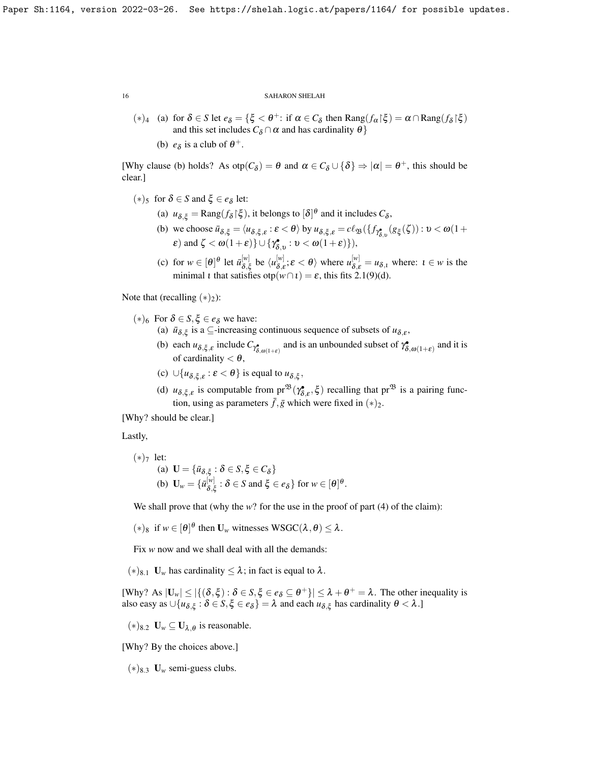- (\*)<sub>4</sub> (a) for  $\delta \in S$  let  $e_{\delta} = {\xi < \theta^+ : \text{ if } \alpha \in C_{\delta} \text{ then } \text{Rang}(f_{\alpha} | \xi) = \alpha \cap \text{Rang}(f_{\delta} | \xi)}$ and this set includes  $C_\delta \cap \alpha$  and has cardinality  $\theta$ }
	- (b)  $e_{\delta}$  is a club of  $\theta^{+}$ .

[Why clause (b) holds? As  $otp(C_{\delta}) = \theta$  and  $\alpha \in C_{\delta} \cup {\delta} \Rightarrow |\alpha| = \theta^+$ , this should be clear.]

- $(*)_5$  for  $\delta \in S$  and  $\xi \in e_\delta$  let:
	- (a)  $u_{\delta,\xi} = \text{Rang}(f_{\delta}|\xi)$ , it belongs to  $[\delta]^{\theta}$  and it includes  $C_{\delta}$ ,
	- (b) we choose  $\bar{u}_{\delta,\xi} = \langle u_{\delta,\xi,\varepsilon} : \varepsilon < \theta \rangle$  by  $u_{\delta,\xi,\varepsilon} = c\ell_{\mathfrak{B}}(\lbrace f_{\gamma_{\delta,\upsilon}^{\bullet}}(g_{\xi}(\zeta)) : \upsilon < \omega(1+\varepsilon)$  $\varepsilon$ ) and  $\zeta < \omega(1+\varepsilon)$ }  $\cup$  { $\gamma_{\delta,\upsilon}^{\bullet} : \upsilon < \omega(1+\varepsilon)$ }),
	- (c) for  $w \in [\theta]^\theta$  let  $\bar{u}_{\delta \ \delta}^{[w]}$  $\begin{bmatrix} [w] \ \delta, \xi \end{bmatrix}$  be  $\langle u_{\delta, \xi}^{[w]}$  $\{\psi|\}_{\delta,\varepsilon}^{[w]}$ ;  $\varepsilon < \theta$  where  $u_{\delta,\varepsilon}^{[w]} = u_{\delta,\varepsilon}$  where:  $\varepsilon \in w$  is the minimal *t* that satisfies  $otp(w \cap t) = \varepsilon$ , this fits [2.1\(](#page-10-1)9)(d).

Note that (recalling  $(*)_2$ ):

- (∗)<sub>6</sub> For  $δ ∈ S, ξ ∈ e<sub>δ</sub>$  we have:
	- (a)  $\bar{u}_{\delta,\xi}$  is a  $\subseteq$ -increasing continuous sequence of subsets of  $u_{\delta,\varepsilon}$ ,
	- (b) each  $u_{\delta,\xi,\varepsilon}$  include  $C_{\gamma_{\delta,\omega(1+\varepsilon)}}$  and is an unbounded subset of  $\gamma_{\delta,\omega(1+\varepsilon)}^*$  and it is of cardinality  $< \theta$ ,
	- (c)  $\cup \{u_{\delta,\xi,\varepsilon}:\varepsilon < \theta\}$  is equal to  $u_{\delta,\xi}$ ,
	- (d)  $u_{\delta,\xi,\varepsilon}$  is computable from  $pr^{\mathfrak{B}}(\gamma_{\delta,\varepsilon}^{\bullet},\xi)$  recalling that  $pr^{\mathfrak{B}}$  is a pairing function, using as parameters  $\bar{f}$ ,  $\bar{g}$  which were fixed in  $(*)_2$ .

[Why? should be clear.]

Lastly,

\n- (\*)
$$
7
$$
 let:
\n- (a)  $\mathbf{U} = \{ \bar{u}_{\delta,\xi} : \delta \in S, \xi \in C_{\delta} \}$
\n- (b)  $\mathbf{U}_w = \{ \bar{u}_{\delta,\xi}^{[w]} : \delta \in S \text{ and } \xi \in e_{\delta} \}$  for  $w \in [\theta]^{\theta}$ .
\n

We shall prove that (why the *w*? for the use in the proof of part (4) of the claim):

 $(*)_8$  if  $w \in [\theta]^\theta$  then  $\mathbf{U}_w$  witnesses  $\mathbf{WSGC}(\lambda,\theta) \leq \lambda$ .

Fix *w* now and we shall deal with all the demands:

 $(*)_{8.1}$  U<sub>w</sub> has cardinality  $\leq \lambda$ ; in fact is equal to  $\lambda$ .

[Why? As  $|\mathbf{U}_w| \leq |\{(\delta, \xi) : \delta \in S, \xi \in e_{\delta} \subseteq \theta^+\}| \leq \lambda + \theta^+ = \lambda$ . The other inequality is also easy as  $\cup \{u_{\delta,\xi} : \delta \in S, \xi \in e_\delta\} = \lambda$  and each  $u_{\delta,\xi}$  has cardinality  $\theta < \lambda$ .]

(∗)<sup>8.2</sup> **U**<sub>*w*</sub> ⊆ **U**<sub>λ,θ</sub> is reasonable.

[Why? By the choices above.]

 $(*)_{8,3}$  **U**<sub>*w*</sub> semi-guess clubs.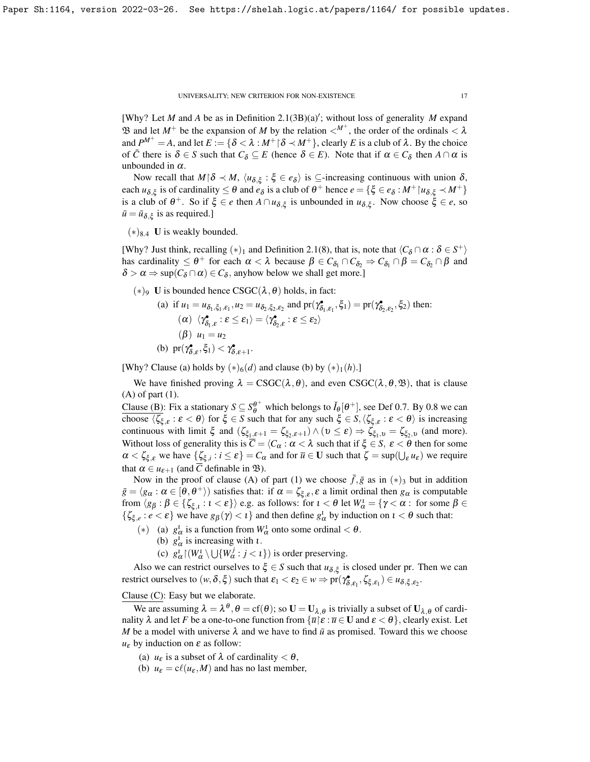[Why? Let  $M$  and  $A$  be as in Definition [2.1\(](#page-10-1)3B)(a)'; without loss of generality  $M$  expand B and let  $M^+$  be the expansion of *M* by the relation  $\lt^{M^+}$ , the order of the ordinals  $\lt \lambda$ and  $P^{M^+} = A$ , and let  $E := \{ \delta < \lambda : M^+ \mid \delta \prec M^+ \}$ , clearly *E* is a club of  $\lambda$ . By the choice of  $\overline{C}$  there is  $\delta \in S$  such that  $C_{\delta} \subseteq E$  (hence  $\delta \in E$ ). Note that if  $\alpha \in C_{\delta}$  then  $A \cap \alpha$  is unbounded in  $\alpha$ .

Now recall that  $M \upharpoonright \delta \prec M$ ,  $\langle u_{\delta,\xi} : \xi \in e_{\delta} \rangle$  is ⊆-increasing continuous with union  $\delta$ , each  $u_{\delta,\xi}$  is of cardinality  $\leq \theta$  and  $e_{\delta}$  is a club of  $\theta^+$  hence  $e = {\xi \in e_{\delta} : M^+ | u_{\delta,\xi} \prec M^+ }$ is a club of  $\theta^+$ . So if  $\xi \in e$  then  $A \cap u_{\delta,\xi}$  is unbounded in  $u_{\delta,\xi}$ . Now choose  $\xi \in e$ , so  $\bar{u} = \bar{u}_{\delta,\xi}$  is as required.]

 $(*)_{8.4}$  U is weakly bounded.

[Why? Just think, recalling  $(*)_1$  and Definition [2.1\(](#page-10-1)8), that is, note that  $\langle C_\delta \cap \alpha : \delta \in S^+ \rangle$ has cardinality  $\leq \theta^+$  for each  $\alpha < \lambda$  because  $\beta \in C_{\delta_1} \cap C_{\delta_2} \Rightarrow C_{\delta_1} \cap \beta = C_{\delta_2} \cap \beta$  and  $\delta > \alpha \Rightarrow \sup(C_{\delta} \cap \alpha) \in C_{\delta}$ , anyhow below we shall get more.]

(∗)<sup>9</sup> U is bounded hence CSGC( $λ$ ,  $θ$ ) holds, in fact:

(a) if 
$$
u_1 = u_{\delta_1, \xi_1, \epsilon_1}, u_2 = u_{\delta_2, \xi_2, \epsilon_2}
$$
 and  $pr(\gamma^{\bullet}_{\delta_1, \epsilon_1}, \xi_1) = pr(\gamma^{\bullet}_{\delta_2, \epsilon_2}, \xi_2)$  then:  
\n(a)  $\langle \gamma^{\bullet}_{\delta_1, \epsilon} : \epsilon \leq \epsilon_1 \rangle = \langle \gamma^{\bullet}_{\delta_2, \epsilon} : \epsilon \leq \epsilon_2 \rangle$   
\n(b)  $pr(\gamma^{\bullet}_{\delta, \epsilon}, \xi_1) < \gamma^{\bullet}_{\delta, \epsilon+1}$ .

[Why? Clause (a) holds by  $(*)_6(d)$  and clause (b) by  $(*)_1(h)$ .]

We have finished proving  $\lambda = \text{CSGC}(\lambda, \theta)$ , and even  $\text{CSGC}(\lambda, \theta, \mathfrak{B})$ , that is clause (A) of part (1).

Clause (B): Fix a stationary  $S \subseteq S_{\theta}^{\theta^+}$  which belongs to  $\check{I}_{\theta}[\theta^+]$ , see Def [0.7.](#page-4-0) By [0.8](#page-4-1) we can choose  $\langle \zeta_{\xi,\varepsilon} : \varepsilon < \theta \rangle$  for  $\xi \in S$  such that for any such  $\xi \in S, \langle \zeta_{\xi,\varepsilon} : \varepsilon < \theta \rangle$  is increasing continuous with limit  $\xi$  and  $(\zeta_{\xi_1,\varepsilon+1} = \zeta_{\xi_2,\varepsilon+1}) \wedge (v \le \varepsilon) \Rightarrow \zeta_{\xi_1,v} = \zeta_{\xi_2,v}$  (and more). Without loss of generality this is  $\overline{C} = \langle C_\alpha : \alpha < \lambda \rangle$  such that if  $\xi \in S$ ,  $\varepsilon < \theta$  then for some  $\alpha < \zeta_{\xi,\varepsilon}$  we have  $\{\zeta_{\xi,i} : i \leq \varepsilon\} = C_\alpha$  and for  $\overline{u} \in U$  such that  $\zeta = \sup(\bigcup_{\varepsilon} u_{\varepsilon})$  we require that  $\alpha \in u_{\varepsilon+1}$  (and  $\overline{C}$  definable in  $\mathfrak{B}$ ).

Now in the proof of clause (A) of part (1) we choose  $\bar{f}, \bar{g}$  as in  $(*)_3$  but in addition  $\bar{g} = \langle g_\alpha : \alpha \in [\theta, \theta^+] \rangle$  satisfies that: if  $\alpha = \zeta_{\xi, \varepsilon}, \varepsilon$  a limit ordinal then  $g_\alpha$  is computable from  $\langle g_{\beta} : \beta \in {\{\zeta_{\xi,l} : l < \varepsilon\}}\rangle$  e.g. as follows: for  $l < \theta$  let  $W_{\alpha}^l = {\gamma < \alpha :}$  for some  $\beta \in$  $\{\zeta_{\xi,e}: e < \varepsilon\}$  we have  $g_\beta(\gamma) < \iota$  and then define  $g_\alpha^{\iota}$  by induction on  $\iota < \theta$  such that:

- (\*) (a)  $g^l_\alpha$  is a function from  $W^l_\alpha$  onto some ordinal  $<\theta$ .
	- (b)  $g^i_{\alpha}$  is increasing with *t*.
	- (c)  $g_{\alpha}^l$   $\vert (W_{\alpha}^l \setminus \bigcup \{W_{\alpha}^j : j < i \})$  is order preserving.

Also we can restrict ourselves to  $\xi \in S$  such that  $u_{\delta, \xi}$  is closed under pr. Then we can restrict ourselves to  $(w, \delta, \xi)$  such that  $\varepsilon_1 < \varepsilon_2 \in w \Rightarrow \text{pr}(\gamma^{\bullet}_{\delta, \varepsilon_1}, \zeta_{\xi, \varepsilon_1}) \in u_{\delta, \xi, \varepsilon_2}$ .

## Clause (C): Easy but we elaborate.

We are assuming  $\lambda = \lambda^{\theta}$ ,  $\theta = cf(\theta)$ ; so  $\mathbf{U} = \mathbf{U}_{\lambda,\theta}$  is trivially a subset of  $\mathbf{U}_{\lambda,\theta}$  of cardinality  $\lambda$  and let *F* be a one-to-one function from  $\{\overline{u} | \varepsilon : \overline{u} \in U \text{ and } \varepsilon < \theta\}$ , clearly exist. Let *M* be a model with universe  $\lambda$  and we have to find  $\bar{u}$  as promised. Toward this we choose  $u_{\varepsilon}$  by induction on  $\varepsilon$  as follow:

- (a)  $u_{\varepsilon}$  is a subset of  $\lambda$  of cardinality  $< \theta$ ,
- (b)  $u_{\varepsilon} = c\ell(u_{\varepsilon}, M)$  and has no last member,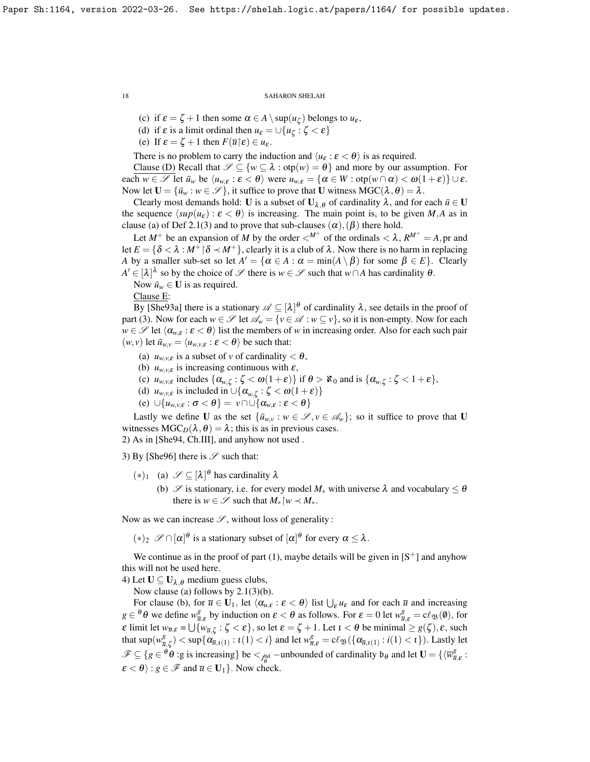(c) if  $\varepsilon = \zeta + 1$  then some  $\alpha \in A \setminus \sup(u_{\zeta})$  belongs to  $u_{\varepsilon}$ ,

(d) if  $\varepsilon$  is a limit ordinal then  $u_{\varepsilon} = \bigcup \{ u_{\zeta} : \zeta < \varepsilon \}$ 

(e) If  $\varepsilon = \zeta + 1$  then  $F(\overline{u}|\varepsilon) \in u_{\varepsilon}$ .

There is no problem to carry the induction and  $\langle u_{\varepsilon} : \varepsilon < \theta \rangle$  is as required.

Clause (D) Recall that  $\mathscr{S} \subseteq \{w \subseteq \lambda : \text{otp}(w) = \theta\}$  and more by our assumption. For each  $w \in \mathscr{S}$  let  $\bar{u}_w$  be  $\langle u_{w,\varepsilon} : \varepsilon < \theta \rangle$  were  $u_{w,\varepsilon} = {\alpha \in W : \text{otp}(w \cap \alpha) < \omega(1+\varepsilon)} \cup \varepsilon$ . Now let  $U = {\bar{u}_w : w \in \mathscr{S}}$ , it suffice to prove that U witness  $MGC(\lambda, \theta) = \lambda$ .

Clearly most demands hold: U is a subset of  $U_{\lambda,\theta}$  of cardinality  $\lambda$ , and for each  $\bar{u} \in U$ the sequence  $\langle \sup(u_{\varepsilon} ) : \varepsilon < \theta \rangle$  is increasing. The main point is, to be given *M*,*A* as in clause (a) of Def [2.1\(](#page-10-1)3) and to prove that sub-clauses  $(\alpha)$ ,  $(\beta)$  there hold.

Let  $M^+$  be an expansion of M by the order  $\langle M^+$  of the ordinals  $\langle \lambda, R^{M^+} = A$ , pr and let  $E = \{\delta \langle \lambda : M^+ | \delta \prec M^+ \rangle\}$ , clearly it is a club of  $\lambda$ . Now there is no harm in replacing *A* by a smaller sub-set so let  $A' = \{ \alpha \in A : \alpha = \min(A \setminus \beta) \text{ for some } \beta \in E \}.$  Clearly  $A' \in [\lambda]^{\lambda}$  so by the choice of  $\mathscr S$  there is  $w \in \mathscr S$  such that  $w \cap A$  has cardinality  $\theta$ .

Now  $\bar{u}_w \in \mathbf{U}$  is as required.

Clause E:

By [\[She93a\]](#page-23-19) there is a stationary  $\mathscr{A} \subseteq [\lambda]^\theta$  of cardinality  $\lambda$ , see details in the proof of part (3). Now for each  $w \in \mathcal{S}$  let  $\mathcal{A}_w = \{v \in \mathcal{A} : w \subseteq v\}$ , so it is non-empty. Now for each *w*  $\in \mathcal{S}$  let  $\langle \alpha_{w,\varepsilon} : \varepsilon < \theta \rangle$  list the members of *w* in increasing order. Also for each such pair  $(w, v)$  let  $\bar{u}_{w, v} = \langle u_{w, v, \varepsilon} : \varepsilon < \theta \rangle$  be such that:

- (a)  $u_{w,v,\varepsilon}$  is a subset of *v* of cardinality  $< \theta$ ,
- (b)  $u_{w,v,\varepsilon}$  is increasing continuous with  $\varepsilon$ ,
- (c)  $u_{w,v,\varepsilon}$  includes  $\{\alpha_{w,\zeta} : \zeta < \omega(1+\varepsilon)\}\$ if  $\theta > \aleph_0$  and is  $\{\alpha_{w,\zeta} : \zeta < 1+\varepsilon\},\$
- (d)  $u_{w,v,\varepsilon}$  is included in  $\cup \{\alpha_{w,\zeta} : \zeta < \omega(1+\varepsilon)\}\$
- (e)  $\bigcup \{u_{w,v,\varepsilon} : \sigma < \theta\} = v \cap \bigcup \{\alpha_{w,\varepsilon} : \varepsilon < \theta\}$

Lastly we define U as the set  $\{\bar{u}_{w,v}: w \in \mathscr{S}, v \in \mathscr{A}_w\}$ ; so it suffice to prove that U witnesses  $MGC_D(\lambda, \theta) = \lambda$ ; this is as in previous cases.

2) As in [\[She94,](#page-23-23) Ch.III], and anyhow not used .

3) By [\[She96\]](#page-23-24) there is  $\mathscr S$  such that:

- $(*)_1$  (a)  $\mathscr{S} \subseteq [\lambda]^\theta$  has cardinality  $\lambda$ 
	- (b)  $\mathscr S$  is stationary, i.e. for every model  $M_*$  with universe  $\lambda$  and vocabulary  $\leq \theta$ there is  $w \in \mathcal{S}$  such that  $M_*\,w \prec M_*$ .

Now as we can increase  $\mathscr{S}$ , without loss of generality :

 $(*)_2$   $\mathscr{S} \cap [\alpha]^\theta$  is a stationary subset of  $[\alpha]^\theta$  for every  $\alpha \leq \lambda$ .

We continue as in the proof of part (1), maybe details will be given in  $[S^+]$  $[S^+]$  and anyhow this will not be used here.

4) Let  $U \subseteq U_{\lambda,\theta}$  medium guess clubs,

Now clause (a) follows by [2.1\(](#page-10-1)3)(b).

For clause (b), for  $\overline{u} \in U_1$ , let  $\langle \alpha_{u,\varepsilon} : \varepsilon < \theta \rangle$  list  $\bigcup_{\varepsilon} u_{\varepsilon}$  and for each  $\overline{u}$  and increasing  $g \in {}^{\theta} \theta$  we define  $w_{\overline{u},\varepsilon}^g$  by induction on  $\varepsilon < \theta$  as follows. For  $\varepsilon = 0$  let  $w_{\overline{u},\varepsilon}^g = c\ell_{\mathfrak{B}}(\theta)$ , for  $\varepsilon$  limit let  $w_{\overline{u},\varepsilon} = \bigcup \{w_{\overline{u},\zeta} : \zeta < \varepsilon\}$ , so let  $\varepsilon = \zeta + 1$ . Let  $\iota < \theta$  be minimal  $\geq g(\zeta), \varepsilon$ , such that  $\sup(w^g_{\overline{u}})$  $\frac{g}{\overline{u},\zeta}$   $\leq$  sup $\{\alpha_{\overline{u},\iota(1)} : \iota(1) < i\}$  and let  $w_{\overline{u},\varepsilon}^g = c\ell_{\mathfrak{B}}(\{\alpha_{\overline{u},\iota(1)} : \iota(1) < i\})$ . Lastly let  $\mathscr{F} \subseteq \{g \in \overset{\theta}{\theta} \text{ is increasing}\}\$  be  $\lt_{J_{\theta}^{\text{bd}}}$  -unbounded of cardinality  $\mathfrak{b}_{\theta}$  and let  $\mathbf{U} = \{\langle \overline{w}_{\overline{u},\varepsilon}^g :$  $\mathcal{E} < \theta$ ):  $g \in \mathcal{F}$  and  $\overline{u} \in U_1$ . Now check.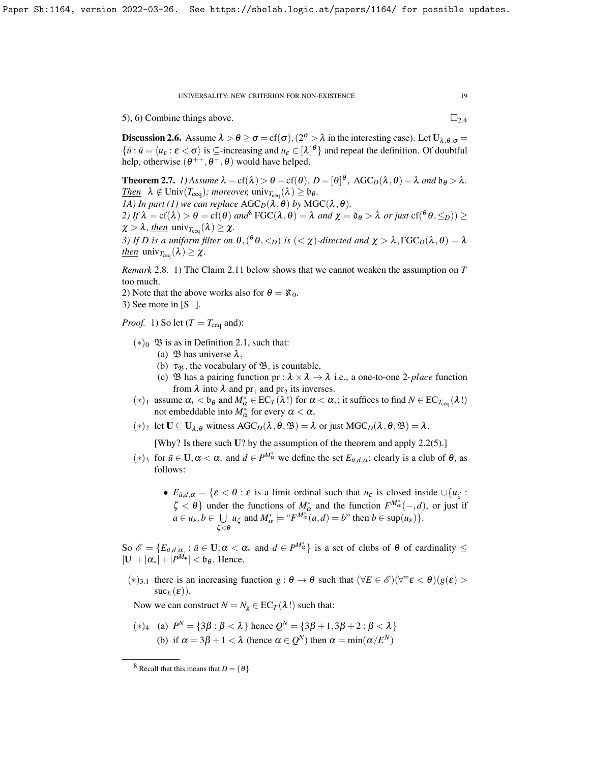5), 6) Combine things above.  $\Box_{2,4}$  $\Box_{2,4}$  $\Box_{2,4}$ 

**Discussion 2.6.** Assume  $\lambda > \theta \ge \sigma = cf(\sigma)$ ,  $(2^{\sigma} > \lambda \text{ in the interesting case})$ . Let  $U_{\lambda,\theta,\sigma} =$  $\{\bar{u} : \bar{u} = \langle u_{\varepsilon} : \varepsilon < \sigma \rangle \text{ is } \subseteq \text{-increasing and } u_{\varepsilon} \in [\lambda]^{\theta}\}\$  and repeat the definition. Of doubtful help, otherwise  $(\theta^{++}, \theta^+, \theta)$  would have helped.

<span id="page-18-1"></span>**Theorem 2.7.** *1*) Assume  $\lambda = cf(\lambda) > \theta = cf(\theta), D = [\theta]^{\theta}, AGC_D(\lambda, \theta) = \lambda$  and  $\theta_{\theta} > \lambda$ . *<u>Then</u>*  $\lambda \notin \text{Univ}(T_{\text{ceq}})$ *; moreover,*  $\text{univ}_{T_{\text{ceq}}}(\lambda) \geq \mathfrak{b}_{\theta}$ *. 1A) In part (1) we can replace*  $AGC_D(\lambda, \theta)$  *by*  $MGC(\lambda, \theta)$ *. 2)* If  $\lambda = cf(\lambda) > \theta = cf(\theta)$  and  $\int^8 \text{FGC}(\lambda, \theta) = \lambda$  $\int^8 \text{FGC}(\lambda, \theta) = \lambda$  $\int^8 \text{FGC}(\lambda, \theta) = \lambda$  and  $\chi = \mathfrak{d}_{\theta} > \lambda$  or just  $cf(\theta, \leq_D) \geq$  $\chi > \lambda$ *, then* univ<sub>Tceq</sub> ( $\lambda$ )  $\geq \chi$ . *3)* If D is a uniform filter on  $\theta$ ,  $(^{\theta}\theta, <_{D})$  is  $(<\chi$ )-directed and  $\chi > \lambda$ , FGC<sub>D</sub>( $\lambda$ ,  $\theta$ ) =  $\lambda$ 

*then* univ<sub>Tceq</sub> ( $\lambda$ )  $\geq \chi$ .

*Remark* 2.8*.* 1) The Claim [2.11](#page-20-0) below shows that we cannot weaken the assumption on *T* too much.

2) Note that the above works also for  $\theta = \aleph_0$ . 3) See more in  $[S^+]$  $[S^+]$ .

*Proof.* 1) So let  $(T = T_{\text{ceq}} \text{ and})$ :

- $(*)_0$   $\mathfrak B$  is as in Definition [2.1,](#page-10-1) such that:
	- (a)  $\mathfrak{B}$  has universe  $\lambda$ ,
	- (b)  $\tau_{\mathfrak{B}}$ , the vocabulary of  $\mathfrak{B}$ , is countable,
	- (c)  $\mathfrak B$  has a pairing function pr :  $\lambda \times \lambda \rightarrow \lambda$  i.e., a one-to-one 2-*place* function from  $\lambda$  into  $\lambda$  and  $pr_1$  and  $pr_2$  its inverses.
- (\*)<sub>1</sub> assume  $\alpha$ <sub>\*</sub> < b<sub>θ</sub> and  $M^*_{\alpha}$  ∈ EC<sub>*T*</sub>( $\lambda$ !) for  $\alpha$  <  $\alpha$ <sub>\*</sub>; it suffices to find  $N \in$  EC<sub>*T*ceq</sub>( $\lambda$ !)</sub> not embeddable into  $M^*_{\alpha}$  for every  $\alpha < \alpha_*$
- (\*)<sub>2</sub> let  $\mathbf{U} \subseteq \mathbf{U}_{\lambda,\theta}$  witness  $\text{AGC}_D(\lambda,\theta,\mathfrak{B}) = \lambda$  or just  $\text{MGC}_D(\lambda,\theta,\mathfrak{B}) = \lambda$ .

[Why? Is there such U? by the assumption of the theorem and apply [2.2\(](#page-12-0)5).]

- $(*)_3$  for  $\bar{u} \in \mathbf{U}, \alpha < \alpha_*$  and  $d \in P^{M^*_{\alpha}}$  we define the set  $E_{\bar{u},d,\alpha}$ ; clearly is a club of  $\theta$ , as follows:
	- $E_{\bar{u},d,\alpha} = \{ \varepsilon < \theta : \varepsilon \text{ is a limit ordinal such that } u_{\varepsilon} \text{ is closed inside } \cup \{u_{\zeta} : \xi \in \mathbb{R} \}$  $\zeta < \theta$ } under the functions of  $M^*_{\alpha}$  and the function  $F^{M^*_{\alpha}}(-,d)$ , or just if  $a \in u_{\varepsilon}, b \in \cup$  $\bigcup_{\zeta < \theta} u_{\zeta}$  and  $M_{\alpha}^* \models ``F^{M_{\alpha}^*}(a, d) = b"$  then  $b \in \text{sup}(u_{\varepsilon})$ .

So  $\mathscr{E} = \{E_{\bar{u},d,\alpha} : \bar{u} \in \mathbf{U}, \alpha < \alpha_* \text{ and } d \in P^{M^*_{\alpha}}\}$  is a set of clubs of  $\theta$  of cardinality  $\leq$  $|\mathbf{U}|+|\alpha_*|+|P^M\bullet| < \mathfrak{b}_{\theta}$ . Hence,

(\*)<sub>3.1</sub> there is an increasing function *g* :  $\theta \to \theta$  such that (∀*E* ∈ *E*°)(∀<sup>∞</sup>*ε* <  $\theta$ )(*g*(*ε*) >  $suc_E(\varepsilon)$ ).

Now we can construct  $N = N_g \in EC_T(\lambda!)$  such that:

(∗)<sub>4</sub> (a)  $P<sup>N</sup> = {3β : β < λ}$  hence  $Q<sup>N</sup> = {3β + 1,3β + 2 : β < λ}$ (b) if  $\alpha = 3\beta + 1 < \lambda$  (hence  $\alpha \in Q^N$ ) then  $\alpha = \min(\alpha / E^N)$ 

<span id="page-18-0"></span><sup>&</sup>lt;sup>8</sup> Recall that this means that  $D = \{\theta\}$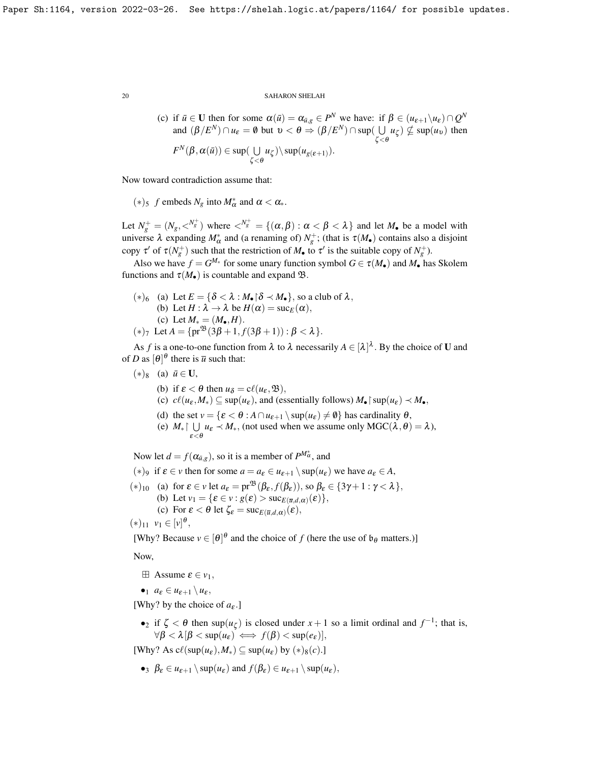(c) if 
$$
\bar{u} \in U
$$
 then for some  $\alpha(\bar{u}) = \alpha_{\bar{u},g} \in P^N$  we have: if  $\beta \in (u_{\varepsilon+1} \setminus u_{\varepsilon}) \cap Q^N$   
and  $(\beta/E^N) \cap u_{\varepsilon} = \emptyset$  but  $v < \theta \Rightarrow (\beta/E^N) \cap \sup(\bigcup_{\zeta < \theta} u_{\zeta}) \nsubseteq \sup(u_v)$  then  
 $F^N(\beta, \alpha(\bar{u})) \in \sup(\bigcup_{\zeta < \theta} u_{\zeta}) \setminus \sup(u_{g(\varepsilon+1)})$ .

Now toward contradiction assume that:

(\*)<sub>5</sub> *f* embeds  $N_g$  into  $M^*_{\alpha}$  and  $\alpha < \alpha_*$ .

Let  $N_g^+ = (N_g, \langle N_g^+ \rangle)$  where  $\langle N_g^+ = \{(\alpha, \beta) : \alpha < \beta < \lambda\}$  and let  $M_\bullet$  be a model with universe  $\lambda$  expanding  $M^*_{\alpha}$  and (a renaming of)  $N^+_{g}$ ; (that is  $\tau(M_{\bullet})$  contains also a disjoint copy  $\tau'$  of  $\tau(N_g^+)$  such that the restriction of  $M_{\bullet}$  to  $\tau'$  is the suitable copy of  $N_g^+$ ).

Also we have  $f = G^{M_*}$  for some unary function symbol  $G \in \tau(M_{\bullet})$  and  $M_{\bullet}$  has Skolem functions and  $\tau(M_{\bullet})$  is countable and expand  $\mathfrak{B}$ .

\n- (\*)<sub>6</sub> (a) Let 
$$
E = \{ \delta < \lambda : M_{\bullet} | \delta < M_{\bullet} \}
$$
, so a club of  $\lambda$ ,
\n- (b) Let  $H : \lambda \to \lambda$  be  $H(\alpha) = \text{succ}_E(\alpha)$ ,
\n- (c) Let  $M_* = (M_{\bullet}, H)$ .
\n- (\*)<sub>7</sub> Let  $A = \{ \text{pr}^{\mathfrak{B}}(3\beta + 1, f(3\beta + 1)) : \beta < \lambda \}$ .
\n

As *f* is a one-to-one function from  $\lambda$  to  $\lambda$  necessarily  $A \in [\lambda]^{\lambda}$ . By the choice of **U** and of *D* as  $[\theta]^\theta$  there is  $\bar{u}$  such that:

- $(*)_8$  (a)  $\bar{u} \in U$ ,
	- (b) if  $\varepsilon < \theta$  then  $u_{\delta} = c\ell(u_{\varepsilon}, \mathfrak{B}),$
	- (c)  $c\ell(u_{\varepsilon}, M_*) \subseteq \sup(u_{\varepsilon})$ , and (essentially follows)  $M_{\bullet} \restriction \sup(u_{\varepsilon}) \prec M_{\bullet}$ ,
	- (d) the set  $v = \{ \varepsilon < \theta : A \cap u_{\varepsilon+1} \setminus \sup(u_{\varepsilon}) \neq \emptyset \}$  has cardinality  $\theta$ ,
	- (e)  $M_* \upharpoonright \bigcup$  $\bigcup_{\varepsilon < \theta} u_{\varepsilon} \prec M_*,$  (not used when we assume only  $\text{MGC}(\lambda, \theta) = \lambda$ ),

Now let  $d = f(\alpha_{\bar{u},g})$ , so it is a member of  $P^{M^*_{\alpha}}$ , and

(\*)<sub>9</sub> if  $\varepsilon \in \nu$  then for some  $a = a_{\varepsilon} \in u_{\varepsilon+1} \setminus \sup(u_{\varepsilon})$  we have  $a_{\varepsilon} \in A$ ,

\n- (\*)<sub>10</sub> (a) for 
$$
\varepsilon \in v
$$
 let  $a_{\varepsilon} = \text{pr}^{\mathfrak{B}}(\beta_{\varepsilon}, f(\beta_{\varepsilon}))$ , so  $\beta_{\varepsilon} \in \{3\gamma + 1 : \gamma < \lambda\}$ ,
\n- (b) Let  $v_1 = \{\varepsilon \in v : g(\varepsilon) > \text{suc}_{E(\overline{u}, d, \alpha)}(\varepsilon)\}$ ,
\n- (c) For  $\varepsilon < \theta$  let  $\zeta_{\varepsilon} = \text{suc}_{E(\overline{u}, d, \alpha)}(\varepsilon)$ ,
\n

 $(*)_{11} \ v_1 \in [v]^\theta,$ 

[Why? Because  $v \in [\theta]^\theta$  and the choice of *f* (here the use of  $\mathfrak{b}_\theta$  matters.)]

Now,

 $\boxplus$  Assume  $\varepsilon \in v_1$ ,

$$
\bullet_1 \ \ a_{\varepsilon} \in u_{\varepsilon+1} \setminus u_{\varepsilon},
$$

[Why? by the choice of  $a_{\varepsilon}$ .]

•2 if  $\zeta < \theta$  then sup $(u_{\zeta})$  is closed under  $x + 1$  so a limit ordinal and  $f^{-1}$ ; that is,  $\forall \beta < \lambda \left[\beta < \sup(u_{\varepsilon}) \right] \Longleftrightarrow f(\beta) < \sup(e_{\varepsilon})$ 

[Why? As  $c\ell(\sup(u_{\varepsilon}), M_*) \subseteq \sup(u_{\varepsilon})$  by  $(*)_8(c)$ .]

 $\bullet_3$   $\beta_{\varepsilon} \in u_{\varepsilon+1} \setminus \sup(u_{\varepsilon})$  and  $f(\beta_{\varepsilon}) \in u_{\varepsilon+1} \setminus \sup(u_{\varepsilon})$ ,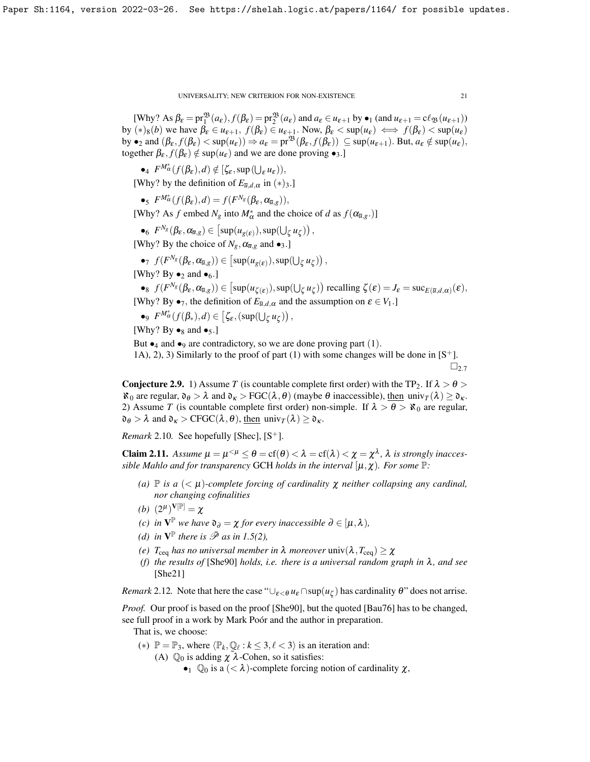[Why? As  $\beta_{\varepsilon} = \text{pr}_1^{\mathfrak{B}}(a_{\varepsilon}), f(\beta_{\varepsilon}) = \text{pr}_2^{\mathfrak{B}}(a_{\varepsilon})$  and  $a_{\varepsilon} \in u_{\varepsilon+1}$  by  $\bullet_1$  (and  $u_{\varepsilon+1} = c\ell_{\mathfrak{B}}(u_{\varepsilon+1})$ ) by  $(*)_8(b)$  we have  $\beta_{\varepsilon} \in u_{\varepsilon+1}$ ,  $f(\beta_{\varepsilon}) \in u_{\varepsilon+1}$ . Now,  $\beta_{\varepsilon} < \sup(u_{\varepsilon}) \iff f(\beta_{\varepsilon}) < \sup(u_{\varepsilon})$ by  $\bullet_2$  and  $(\beta_{\varepsilon}, f(\beta_{\varepsilon}) < \sup(u_{\varepsilon})) \Rightarrow a_{\varepsilon} = \text{pr}^{\mathfrak{B}}(\beta_{\varepsilon}, f(\beta_{\varepsilon})) \subseteq \sup(u_{\varepsilon+1})$ . But,  $a_{\varepsilon} \notin \sup(u_{\varepsilon})$ , together  $\beta_{\varepsilon}$ ,  $f(\beta_{\varepsilon}) \notin \sup(u_{\varepsilon})$  and we are done proving  $\bullet_3$ .]

 $\bullet_4$   $F^{M^*_{\alpha}}(f(\beta_{\varepsilon}),d) \notin [\zeta_{\varepsilon}, \sup(\bigcup_{\varepsilon} u_{\varepsilon}))$ ,

[Why? by the definition of  $E_{\bar{u},d,\alpha}$  in  $(*)_3$ .]

 $\bullet$ <sub>5</sub>  $F^{M_{\alpha}^*}(f(\beta_{\varepsilon}),d) = f(F^{N_g}(\beta_{\varepsilon},\alpha_{\overline{u},g})),$ 

[Why? As *f* embed  $N_g$  into  $M^*_{\alpha}$  and the choice of *d* as  $f(\alpha_{\overline{u},g}.)$ ]

•<sub>6</sub> 
$$
F^{N_g}(\beta_{\varepsilon}, \alpha_{\overline{u},g}) \in [\sup(u_{g(\varepsilon)}), \sup(\bigcup_{\zeta} u_{\zeta})],
$$

[Why? By the choice of  $N_g$ ,  $\alpha_{\overline{u},g}$  and  $\bullet_3$ .]

•
$$
\tau
$$
  $f(F^{N_g}(\beta_{\varepsilon}, \alpha_{\overline{u},g})) \in [\sup(u_{g(\varepsilon)}), \sup(\bigcup_{\zeta} u_{\zeta}))$ ,

[Why? By  $\bullet_2$  and  $\bullet_6$ .]

 $\bullet$ <sup>8</sup>  $f(F^{N_g}(\beta_\varepsilon, \alpha_{\overline{u},g})) \in [\sup(u_{\zeta(\varepsilon)}), \sup(\bigcup_{\zeta} u_{\zeta})]$  recalling  $\zeta(\varepsilon) = J_{\varepsilon} = \sup_{\zeta(\overline{u},d,\alpha)}(\varepsilon)$ , [Why? By  $\bullet_7$ , the definition of  $E_{\bar{u},d,\alpha}$  and the assumption on  $\varepsilon \in V_1$ .]

•9  $F^{M^*_{\alpha}}(f(\beta_*),d) \in [\zeta_{\varepsilon},(\sup(\bigcup_{\zeta} u_{\zeta}))],$ 

[Why? By  $\bullet_8$  and  $\bullet_5$ .]

But  $\bullet_4$  and  $\bullet_9$  are contradictory, so we are done proving part (1).

1A), 2), 3) Similarly to the proof of part (1) with some changes will be done in  $[S^+]$  $[S^+]$ .  $\square_{2.7}$  $\square_{2.7}$  $\square_{2.7}$ 

**Conjecture 2.9.** 1) Assume *T* (is countable complete first order) with the TP<sub>2</sub>. If  $\lambda > \theta >$  $\aleph_0$  are regular,  $\mathfrak{d}_{\theta} > \lambda$  and  $\mathfrak{d}_{\kappa} > \text{FGC}(\lambda, \theta)$  (maybe  $\theta$  inaccessible), then univ $\tau(\lambda) \geq \mathfrak{d}_{\kappa}$ . 2) Assume *T* (is countable complete first order) non-simple. If  $\lambda > \theta > \aleph_0$  are regular,  $\mathfrak{d}_{\theta} > \lambda$  and  $\mathfrak{d}_{\kappa} > \text{CFGC}(\lambda, \theta)$ , then univ<sub>*T*</sub>( $\lambda$ )  $\geq \mathfrak{d}_{\kappa}$ .

*Remark* 2.10*.* See hopefully [\[Shec\]](#page-23-15),  $[S^+]$  $[S^+]$ .

<span id="page-20-0"></span>**Claim 2.11.** Assume  $\mu = \mu^{<\mu} \le \theta = \text{cf}(\theta) < \lambda = \text{cf}(\lambda) < \chi = \chi^{\lambda}$ ,  $\lambda$  is strongly inacces*sible Mahlo and for transparency* GCH *holds in the interval*  $[\mu, \chi)$ *. For some*  $\mathbb{P}$ *:* 

- *(a)*  $\mathbb P$  *is a*  $( $\mu$ )$ -complete forcing of cardinality  $\chi$  neither collapsing any cardinal, *nor changing cofinalities*
- *(b)*  $(2^{\mu})^{\mathbf{V}[\mathbb{P}]} = \chi$
- *(c) in*  $V^{\mathbb{P}}$  *we have*  $\mathfrak{d}_{\partial} = \chi$  *for every inaccessible*  $\partial \in [\mu, \lambda)$ *,*
- *(d) in*  $V^{\mathbb{P}}$  *there is*  $\bar{\mathcal{P}}$  *as in* [1.5\(](#page-7-0)2),
- *(e)*  $T_{\text{ceq}}$  *has no universal member in*  $\lambda$  *moreover* univ $(\lambda, T_{\text{ceq}}) \geq \chi$
- *(f) the results of* [\[She90\]](#page-23-16) *holds, i.e. there is a universal random graph in* λ*, and see* [\[She21\]](#page-23-2)

*Remark* 2.12. Note that here the case " $\cup_{\varepsilon < \theta} u_{\varepsilon} \cap \sup(u_{\zeta})$  has cardinality  $\theta$ " does not arrise.

*Proof.* Our proof is based on the proof [\[She90\]](#page-23-16), but the quoted [\[Bau76\]](#page-23-25) has to be changed, see full proof in a work by Mark Poór and the author in preparation.

That is, we choose:

- (\*)  $\mathbb{P} = \mathbb{P}_3$ , where  $\langle \mathbb{P}_k, \mathbb{Q}_\ell : k \leq 3, \ell < 3 \rangle$  is an iteration and:
	- (A)  $\mathbb{Q}_0$  is adding  $\chi^2 \lambda$ -Cohen, so it satisfies:
		- $\bullet_1$  Q<sub>0</sub> is a ( $\lt \lambda$ )-complete forcing notion of cardinality  $\chi$ ,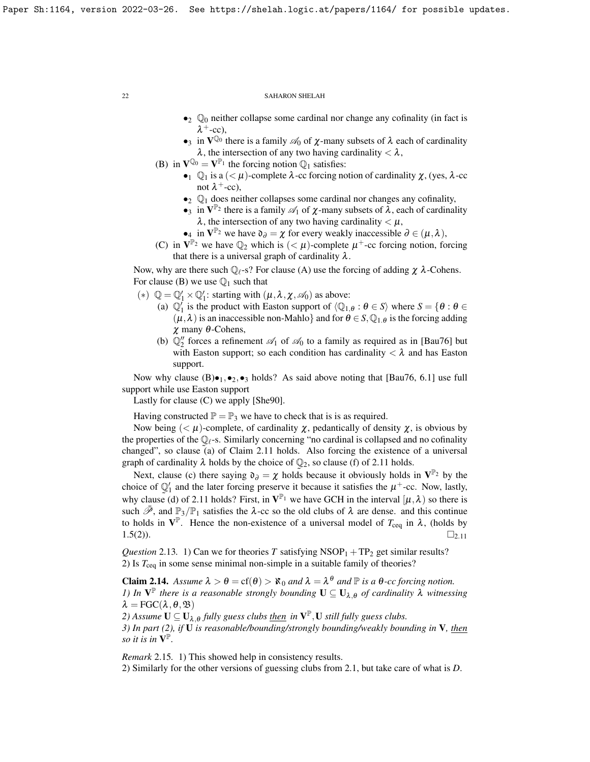- $\bullet_2$   $\mathbb{Q}_0$  neither collapse some cardinal nor change any cofinality (in fact is  $\lambda^+$ -cc),
- •3 in  $V^{\mathbb{Q}_0}$  there is a family  $\mathcal{A}_0$  of  $\chi$ -many subsets of  $\lambda$  each of cardinality  $\lambda$ , the intersection of any two having cardinality  $< \lambda$ ,
- (B) in  $\mathbf{V}^{\mathbb{Q}_0} = \mathbf{V}^{\mathbb{P}_1}$  the forcing notion  $\mathbb{Q}_1$  satisfies:
	- $\mathbb{Q}_1$  is a  $\left(\leq \mu\right)$ -complete  $\lambda$ -cc forcing notion of cardinality  $\chi$ , (yes,  $\lambda$ -cc not  $\lambda$ <sup>+</sup>-cc),
	- $\bullet_2$   $\mathbb{Q}_1$  does neither collapses some cardinal nor changes any cofinality,
	- •3 in  $V^{\mathbb{P}_2}$  there is a family  $\mathscr{A}_1$  of  $\chi$ -many subsets of  $\lambda$ , each of cardinality  $\lambda$ , the intersection of any two having cardinality  $\lt \mu$ ,
	- •4 in  $V^{\mathbb{P}_2}$  we have  $\mathfrak{d}_{\partial} = \chi$  for every weakly inaccessible  $\partial \in (\mu, \lambda)$ ,
- (C) in  $V^{\mathbb{P}_2}$  we have  $\mathbb{Q}_2$  which is  $( $\mu$ )-complete  $\mu^+$ -cc forcing notion, forcing$ that there is a universal graph of cardinality  $\lambda$ .

Now, why are there such  $\mathbb{Q}_{\ell}$ -s? For clause (A) use the forcing of adding  $\chi$   $\lambda$ -Cohens. For clause (B) we use  $\mathbb{Q}_1$  such that

- (\*)  $\mathbb{Q} = \mathbb{Q}'_1 \times \mathbb{Q}'_1$ : starting with  $(\mu, \lambda, \chi, \mathcal{A}_0)$  as above:
	- (a)  $\mathbb{Q}_1'$  is the product with Easton support of  $\langle \mathbb{Q}_{1,\theta} : \theta \in S \rangle$  where  $S = \{ \theta : \theta \in \mathbb{Q} \}$  $(\mu, \lambda)$  is an inaccessible non-Mahlo} and for  $\theta \in S$ ,  $\mathbb{Q}_{1,\theta}$  is the forcing adding χ many θ-Cohens,
	- (b)  $\mathbb{Q}_2^{\prime\prime}$  forces a refinement  $\mathcal{A}_1$  of  $\mathcal{A}_0$  to a family as required as in [\[Bau76\]](#page-23-25) but with Easton support; so each condition has cardinality  $\langle \lambda \rangle$  and has Easton support.

Now why clause  $(B) \bullet_{1}, \bullet_{2}, \bullet_{3}$  holds? As said above noting that [\[Bau76,](#page-23-25) 6.1] use full support while use Easton support

Lastly for clause (C) we apply [\[She90\]](#page-23-16).

Having constructed  $\mathbb{P} = \mathbb{P}_3$  we have to check that is is as required.

Now being  $\langle \langle \mu \rangle$ -complete, of cardinality  $\chi$ , pedantically of density  $\chi$ , is obvious by the properties of the  $\mathbb{Q}_\ell$ -s. Similarly concerning "no cardinal is collapsed and no cofinality changed", so clause (a) of Claim [2.11](#page-20-0) holds. Also forcing the existence of a universal graph of cardinality  $\lambda$  holds by the choice of  $\mathbb{Q}_2$ , so clause (f) of [2.11](#page-20-0) holds.

Next, clause (c) there saying  $\mathfrak{d}_{\partial} = \chi$  holds because it obviously holds in  $V^{\mathbb{P}_2}$  by the choice of  $\mathbb{Q}'_1$  and the later forcing preserve it because it satisfies the  $\mu^+$ -cc. Now, lastly, why clause (d) of [2.11](#page-20-0) holds? First, in  $V^{\mathbb{P}_1}$  we have GCH in the interval  $[\mu, \lambda)$  so there is such  $\bar{\mathcal{P}}$ , and  $\mathbb{P}_3/\mathbb{P}_1$  satisfies the  $\lambda$ -cc so the old clubs of  $\lambda$  are dense. and this continue to holds in  $V^{\mathbb{P}}$ . Hence the non-existence of a universal model of  $T_{\text{ceq}}$  in  $\lambda$ , (holds by [1.5\(](#page-7-0)2)).  $\square_{2.11}$  $\square_{2.11}$  $\square_{2.11}$ 

*Question* 2.13. 1) Can we for theories *T* satisfying  $NSOP_1 + TP_2$  get similar results? 2) Is  $T_{\text{ceq}}$  in some sense minimal non-simple in a suitable family of theories?

<span id="page-21-0"></span>Claim 2.14. *Assume*  $\lambda > \theta = cf(\theta) > \aleph_0$  *and*  $\lambda = \lambda^\theta$  *and*  $\mathbb P$  *is a*  $\theta$ *-cc forcing notion. 1)* In  $V^{\mathbb{P}}$  there is a reasonable strongly bounding  $U \subseteq U_{\lambda,\theta}$  of cardinality  $\lambda$  witnessing  $\lambda = FGC(\lambda, \theta, \mathfrak{B})$ 

2) Assume  $\mathbf{U} \subseteq \mathbf{U}_{\lambda,\theta}$  fully guess clubs <u>then</u> in  $\mathbf{V}^{\mathbb{P}}, \mathbf{U}$  still fully guess clubs. *3) In part (2), if* U *is reasonable/bounding/strongly bounding/weakly bounding in* V*, then so it is in*  $V^{\mathbb{P}}$ *.* 

*Remark* 2.15*.* 1) This showed help in consistency results. 2) Similarly for the other versions of guessing clubs from [2.1,](#page-10-1) but take care of what is *D*.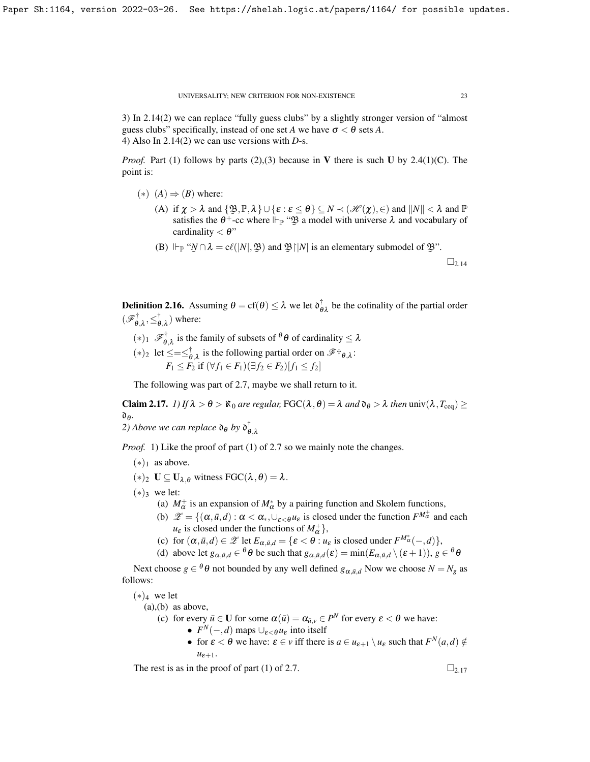3) In [2.14\(](#page-21-0)2) we can replace "fully guess clubs" by a slightly stronger version of "almost guess clubs" specifically, instead of one set *A* we have  $\sigma < \theta$  sets *A*. 4) Also In [2.14\(](#page-21-0)2) we can use versions with *D*-s.

*Proof.* Part (1) follows by parts (2),(3) because in V there is such U by [2.4\(](#page-12-2)1)(C). The point is:

- $(*)$   $(A) \Rightarrow (B)$  where:
	- (A) if  $\chi > \lambda$  and  $\{\mathfrak{B}, \mathbb{P}, \lambda\} \cup \{\varepsilon : \varepsilon \leq \theta\} \subseteq N \prec (\mathcal{H}(\chi), \in)$  and  $||N|| < \lambda$  and  $\mathbb{P}$ satisfies the  $\theta^+$ -cc where  $\Vdash_{\mathbb{P}}$  " $\mathfrak{B}$  a model with universe  $\lambda$  and vocabulary of cardinality  $\lt \theta$ " cardinality  $< \theta$ "
	- (B)  $\Vdash_{\mathbb{P}} \text{``$\mathcal{N} \cap \lambda = c\ell(|N|, \mathfrak{B})$ and $\mathfrak{B} \cap N$ is an elementary submodule of $\mathfrak{B}$.}$

 $\square_{2.14}$  $\square_{2.14}$  $\square_{2.14}$ 

**Definition 2.16.** Assuming  $\theta = cf(\theta) \le \lambda$  we let  $\mathfrak{d}_{\theta\lambda}^{\dagger}$  be the cofinality of the partial order  $(\mathscr{F}^\dagger_{\theta}$  $\vec{\theta}, \lambda, \leq^{\dagger}_{\theta}$  $\phi_{,\lambda}^{\dagger}$ ) where:

- $(*)_1$   $\mathscr{F}_{\theta}^{\dagger}$  $\theta_{\theta,\lambda}$  is the family of subsets of  $\theta$   $\theta$  of cardinality  $\leq \lambda$
- $(*)_2$  let ≤=≤ $\frac{1}{\theta}$  $\phi_{\theta,\lambda}$  is the following partial order on  $\mathscr{F}^{\dagger} \theta, \lambda$ : *F*<sub>1</sub> ≤ *F*<sub>2</sub> if  $(\forall f_1 \in F_1)(\exists f_2 \in F_2)[f_1 \leq f_2]$

The following was part of [2.7,](#page-18-1) maybe we shall return to it.

<span id="page-22-0"></span>Claim 2.17. *1)* If  $\lambda > \theta > \aleph_0$  are regular, FGC( $\lambda, \theta$ ) =  $\lambda$  and  $\theta_{\theta} > \lambda$  then univ( $\lambda, T_{\text{ceq}}$ ) ≥ d<sup>θ</sup> *.*

2) Above we can replace  $\mathfrak{d}_{\theta}$  by  $\mathfrak{d}_{\theta}^{\dagger}$ θ,λ

*Proof.* 1) Like the proof of part (1) of [2.7](#page-18-1) so we mainly note the changes.

- $(*)_1$  as above.
- (∗)<sub>2</sub> **U** ⊆ **U**<sub>λ,θ</sub> witness FGC(λ,θ) = λ.
- $(*)_3$  we let:
	- (a)  $M^+_{\alpha}$  is an expansion of  $M^*_{\alpha}$  by a pairing function and Skolem functions,
	- (b)  $\mathscr{Z} = \{ (\alpha, \bar{u}, d) : \alpha < \alpha_*, \cup_{\varepsilon < \theta} u_{\varepsilon} \text{ is closed under the function } F^{M^+_{\alpha}} \text{ and each } \varepsilon \leq \alpha_* \}$  $u_{\varepsilon}$  is closed under the functions of  $M_{\alpha}^{+}$ },
	- (c) for  $(\alpha, \bar{u}, d) \in \mathscr{L}$  let  $E_{\alpha, \bar{u}, d} = {\{\varepsilon < \theta : u_{\varepsilon} \text{ is closed under } F^{M^*_{\alpha}}(-, d)\}}$ ,
	- (d) above let  $g_{\alpha,\bar{u},d} \in {}^{\theta} \theta$  be such that  $g_{\alpha,\bar{u},d}(\varepsilon) = \min(E_{\alpha,\bar{u},d} \setminus (\varepsilon + 1)), g \in {}^{\theta} \theta$

Next choose  $g \in {}^{\theta} \theta$  not bounded by any well defined  $g_{\alpha, \bar{u}, d}$  Now we choose  $N = N_g$  as follows:

 $(*)_4$  we let

 $(a)$ , $(b)$  as above,

(c) for every  $\bar{u} \in U$  for some  $\alpha(\bar{u}) = \alpha_{\bar{u},v} \in P^N$  for every  $\varepsilon < \theta$  we have:

- $F^N(-,d)$  maps  $\cup_{\varepsilon < \theta} u_{\varepsilon}$  into itself
	- for  $\varepsilon < \theta$  we have:  $\varepsilon \in \nu$  iff there is  $a \in u_{\varepsilon+1} \setminus u_{\varepsilon}$  such that  $F^N(a,d) \notin$  $u_{\varepsilon+1}$ .

The rest is as in the proof of part (1) of [2.7.](#page-18-1)  $\square_{2,17}$  $\square_{2,17}$  $\square_{2,17}$